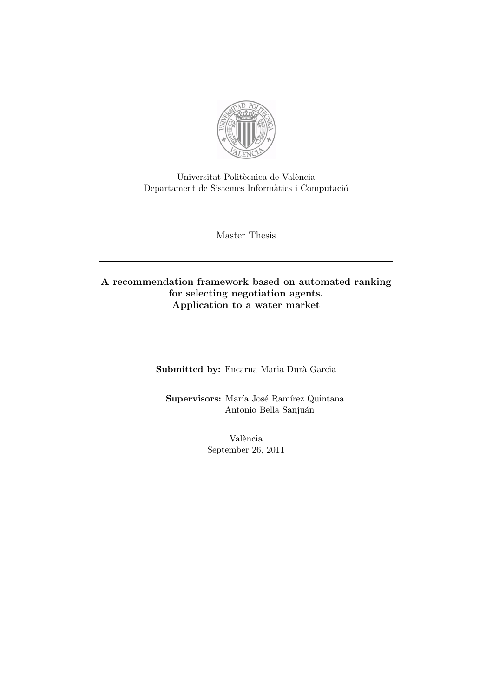

Universitat Politècnica de València  $\rm Department~de~Sistemes~Informàtics i Computació$ 

Master Thesis

### A recommendation framework based on automated ranking for selecting negotiation agents. Application to a water market

Submitted by: Encarna Maria Durà Garcia

Supervisors: María José Ramírez Quintana Antonio Bella Sanjuán

> València September 26, 2011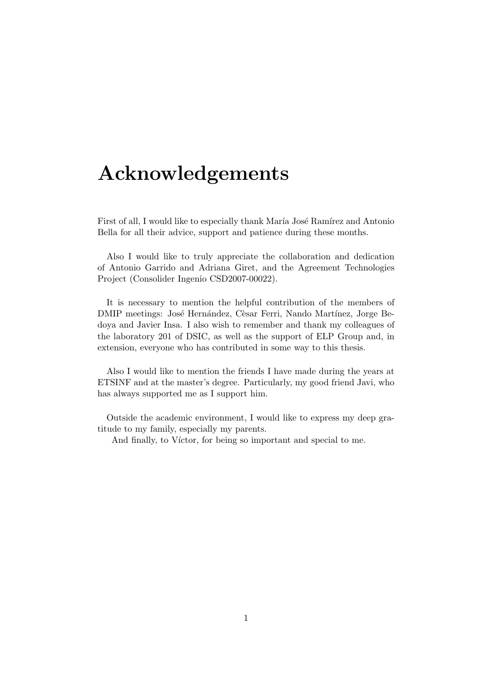## Acknowledgements

First of all, I would like to especially thank María José Ramírez and Antonio Bella for all their advice, support and patience during these months.

Also I would like to truly appreciate the collaboration and dedication of Antonio Garrido and Adriana Giret, and the Agreement Technologies Project (Consolider Ingenio CSD2007-00022).

It is necessary to mention the helpful contribution of the members of DMIP meetings: José Hernández, Cèsar Ferri, Nando Martínez, Jorge Bedoya and Javier Insa. I also wish to remember and thank my colleagues of the laboratory 201 of DSIC, as well as the support of ELP Group and, in extension, everyone who has contributed in some way to this thesis.

Also I would like to mention the friends I have made during the years at ETSINF and at the master's degree. Particularly, my good friend Javi, who has always supported me as I support him.

Outside the academic environment, I would like to express my deep gratitude to my family, especially my parents.

And finally, to Víctor, for being so important and special to me.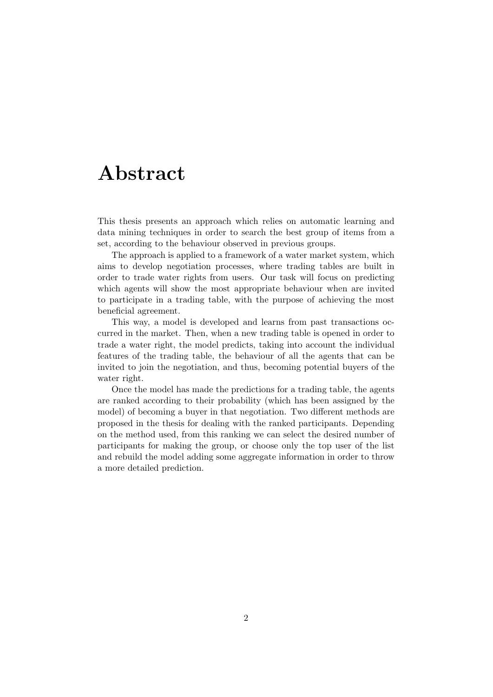## Abstract

This thesis presents an approach which relies on automatic learning and data mining techniques in order to search the best group of items from a set, according to the behaviour observed in previous groups.

The approach is applied to a framework of a water market system, which aims to develop negotiation processes, where trading tables are built in order to trade water rights from users. Our task will focus on predicting which agents will show the most appropriate behaviour when are invited to participate in a trading table, with the purpose of achieving the most beneficial agreement.

This way, a model is developed and learns from past transactions occurred in the market. Then, when a new trading table is opened in order to trade a water right, the model predicts, taking into account the individual features of the trading table, the behaviour of all the agents that can be invited to join the negotiation, and thus, becoming potential buyers of the water right.

Once the model has made the predictions for a trading table, the agents are ranked according to their probability (which has been assigned by the model) of becoming a buyer in that negotiation. Two different methods are proposed in the thesis for dealing with the ranked participants. Depending on the method used, from this ranking we can select the desired number of participants for making the group, or choose only the top user of the list and rebuild the model adding some aggregate information in order to throw a more detailed prediction.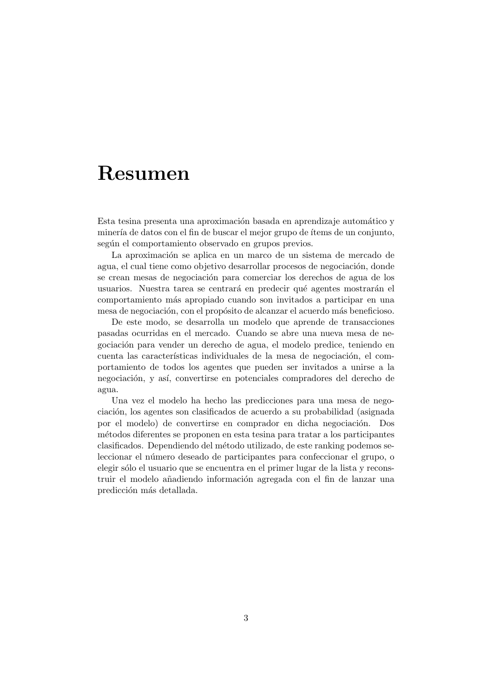### Resumen

Esta tesina presenta una aproximación basada en aprendizaje automático y minería de datos con el fin de buscar el mejor grupo de ítems de un conjunto, según el comportamiento observado en grupos previos.

La aproximación se aplica en un marco de un sistema de mercado de agua, el cual tiene como objetivo desarrollar procesos de negociación, donde se crean mesas de negociación para comerciar los derechos de agua de los usuarios. Nuestra tarea se centrará en predecir qué agentes mostrarán el comportamiento m´as apropiado cuando son invitados a participar en una mesa de negociación, con el propósito de alcanzar el acuerdo más beneficioso.

De este modo, se desarrolla un modelo que aprende de transacciones pasadas ocurridas en el mercado. Cuando se abre una nueva mesa de negociación para vender un derecho de agua, el modelo predice, teniendo en cuenta las características individuales de la mesa de negociación, el comportamiento de todos los agentes que pueden ser invitados a unirse a la negociación, y así, convertirse en potenciales compradores del derecho de agua.

Una vez el modelo ha hecho las predicciones para una mesa de negociación, los agentes son clasificados de acuerdo a su probabilidad (asignada por el modelo) de convertirse en comprador en dicha negociación. Dos m´etodos diferentes se proponen en esta tesina para tratar a los participantes clasificados. Dependiendo del m´etodo utilizado, de este ranking podemos seleccionar el número deseado de participantes para confeccionar el grupo, o elegir s´olo el usuario que se encuentra en el primer lugar de la lista y reconstruir el modelo añadiendo información agregada con el fin de lanzar una predicción más detallada.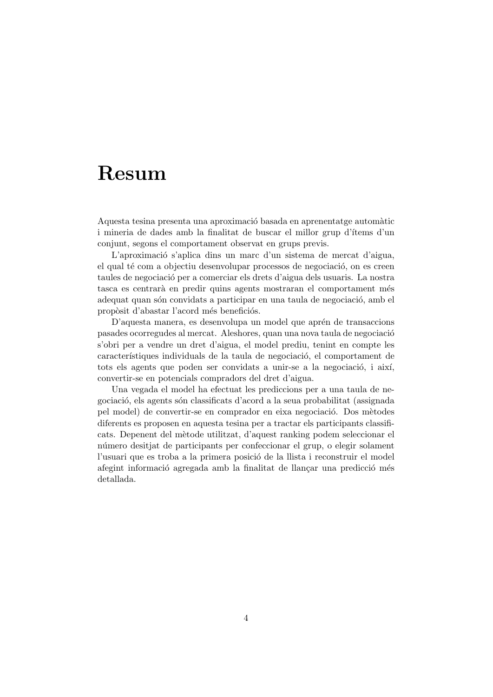### Resum

Aquesta tesina presenta una aproximació basada en aprenentatge automàtic i mineria de dades amb la finalitat de buscar el millor grup d'ítems d'un conjunt, segons el comportament observat en grups previs.

L'aproximació s'aplica dins un marc d'un sistema de mercat d'aigua, el qual té com a objectiu desenvolupar processos de negociació, on es creen taules de negociació per a comerciar els drets d'aigua dels usuaris. La nostra tasca es centrarà en predir quins agents mostraran el comportament més adequat quan són convidats a participar en una taula de negociació, amb el propòsit d'abastar l'acord més beneficiós.

D'aquesta manera, es desenvolupa un model que aprén de transaccions pasades ocorregudes al mercat. Aleshores, quan una nova taula de negociació s'obri per a vendre un dret d'aigua, el model prediu, tenint en compte les característiques individuals de la taula de negociació, el comportament de tots els agents que poden ser convidats a unir-se a la negociació, i així, convertir-se en potencials compradors del dret d'aigua.

Una vegada el model ha efectuat les prediccions per a una taula de negociaci´o, els agents s´on classificats d'acord a la seua probabilitat (assignada pel model) de convertir-se en comprador en eixa negociació. Dos mètodes diferents es proposen en aquesta tesina per a tractar els participants classificats. Depenent del m`etode utilitzat, d'aquest ranking podem seleccionar el n´umero desitjat de participants per confeccionar el grup, o elegir solament l'usuari que es troba a la primera posició de la llista i reconstruir el model afegint informació agregada amb la finalitat de llançar una predicció més detallada.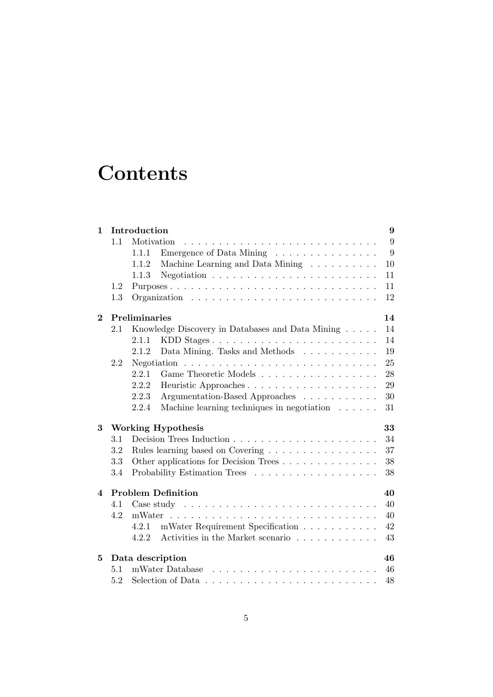# **Contents**

| $\mathbf{1}$ | Introduction<br>9                 |                                                                                    |    |  |  |  |  |  |  |  |
|--------------|-----------------------------------|------------------------------------------------------------------------------------|----|--|--|--|--|--|--|--|
|              | 1.1<br>Motivation                 |                                                                                    |    |  |  |  |  |  |  |  |
|              | Emergence of Data Mining<br>1.1.1 |                                                                                    |    |  |  |  |  |  |  |  |
|              |                                   | Machine Learning and Data Mining<br>1.1.2                                          | 10 |  |  |  |  |  |  |  |
|              |                                   | Negotiation $\ldots \ldots \ldots \ldots \ldots \ldots \ldots \ldots$<br>1.1.3     | 11 |  |  |  |  |  |  |  |
|              | 1.2                               |                                                                                    | 11 |  |  |  |  |  |  |  |
|              | 1.3                               |                                                                                    | 12 |  |  |  |  |  |  |  |
| $\mathbf 2$  |                                   | Preliminaries                                                                      | 14 |  |  |  |  |  |  |  |
|              | 2.1                               | Knowledge Discovery in Databases and Data Mining                                   | 14 |  |  |  |  |  |  |  |
|              |                                   | 2.1.1<br>KDD Stages                                                                | 14 |  |  |  |  |  |  |  |
|              |                                   | Data Mining. Tasks and Methods<br>2.1.2                                            | 19 |  |  |  |  |  |  |  |
|              | 2.2                               | Negotiation                                                                        | 25 |  |  |  |  |  |  |  |
|              |                                   | 2.2.1<br>Game Theoretic Models                                                     | 28 |  |  |  |  |  |  |  |
|              |                                   | 2.2.2                                                                              | 29 |  |  |  |  |  |  |  |
|              |                                   | 2.2.3<br>Argumentation-Based Approaches                                            | 30 |  |  |  |  |  |  |  |
|              |                                   | 2.2.4<br>Machine learning techniques in negotiation $\ldots \ldots$                | 31 |  |  |  |  |  |  |  |
| 3            |                                   | <b>Working Hypothesis</b>                                                          | 33 |  |  |  |  |  |  |  |
|              | 3.1                               |                                                                                    | 34 |  |  |  |  |  |  |  |
|              | 3.2                               | Rules learning based on Covering                                                   | 37 |  |  |  |  |  |  |  |
|              | 3.3                               | Other applications for Decision Trees                                              | 38 |  |  |  |  |  |  |  |
|              | 3.4                               |                                                                                    | 38 |  |  |  |  |  |  |  |
| 4            |                                   | <b>Problem Definition</b>                                                          | 40 |  |  |  |  |  |  |  |
|              | 4.1                               |                                                                                    | 40 |  |  |  |  |  |  |  |
|              | 4.2                               | mWater                                                                             | 40 |  |  |  |  |  |  |  |
|              |                                   | mWater Requirement Specification<br>4.2.1                                          | 42 |  |  |  |  |  |  |  |
|              |                                   | Activities in the Market scenario $\ldots \ldots \ldots \ldots$<br>4.2.2           | 43 |  |  |  |  |  |  |  |
| 5            |                                   | Data description                                                                   | 46 |  |  |  |  |  |  |  |
|              | 5.1                               | mWater Database                                                                    | 46 |  |  |  |  |  |  |  |
|              | 5.2                               | Selection of Data $\ldots \ldots \ldots \ldots \ldots \ldots \ldots \ldots \ldots$ | 48 |  |  |  |  |  |  |  |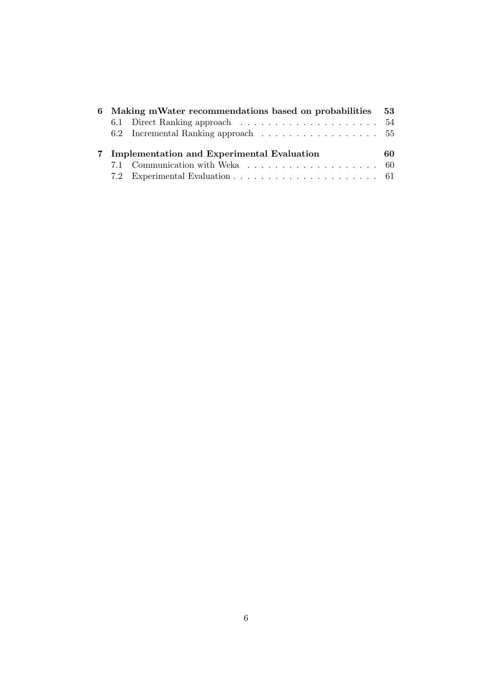| 6 Making mWater recommendations based on probabilities 53 |                                              |    |  |  |  |  |  |  |  |  |
|-----------------------------------------------------------|----------------------------------------------|----|--|--|--|--|--|--|--|--|
|                                                           |                                              |    |  |  |  |  |  |  |  |  |
|                                                           | 6.2 Incremental Ranking approach  55         |    |  |  |  |  |  |  |  |  |
|                                                           |                                              |    |  |  |  |  |  |  |  |  |
|                                                           | 7 Implementation and Experimental Evaluation | 60 |  |  |  |  |  |  |  |  |
|                                                           |                                              |    |  |  |  |  |  |  |  |  |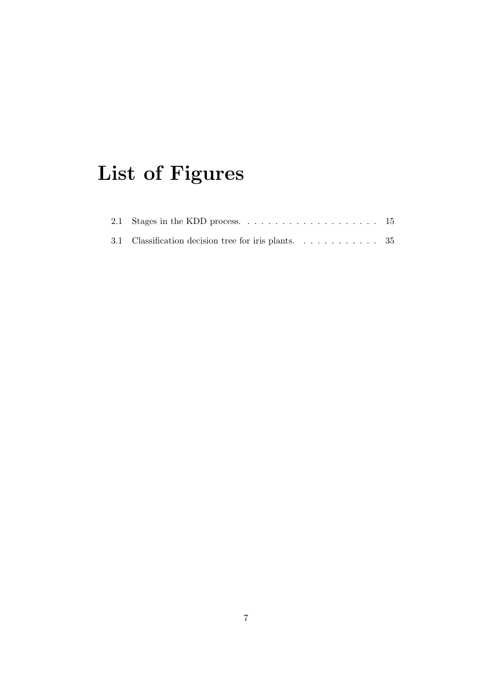# List of Figures

| 3.1 Classification decision tree for iris plants. $\ldots \ldots \ldots$ 35 |  |  |  |  |  |  |
|-----------------------------------------------------------------------------|--|--|--|--|--|--|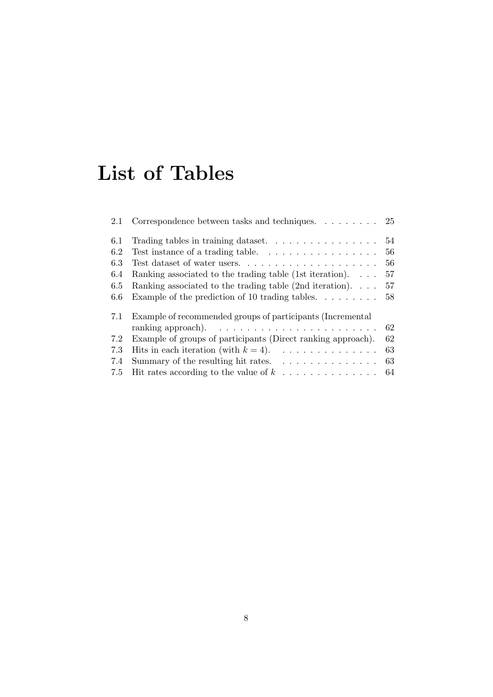# List of Tables

| 2.1 | Correspondence between tasks and techniques. $\ldots \ldots \ldots$ 25   |    |
|-----|--------------------------------------------------------------------------|----|
| 6.1 | Trading tables in training dataset. $\ldots \ldots \ldots \ldots \ldots$ | 54 |
| 6.2 | Test instance of a trading table. $\ldots \ldots \ldots \ldots \ldots$   | 56 |
| 6.3 |                                                                          | 56 |
| 6.4 | Ranking associated to the trading table (1st iteration). $\dots$         | 57 |
| 6.5 | Ranking associated to the trading table $(2nd iteration)$                | 57 |
| 6.6 | Example of the prediction of 10 trading tables                           | 58 |
| 7.1 | Example of recommended groups of participants (Incremental               |    |
|     |                                                                          | 62 |
| 7.2 | Example of groups of participants (Direct ranking approach).             | 62 |
| 7.3 | Hits in each iteration (with $k = 4$ ).                                  | 63 |
| 7.4 | Summary of the resulting hit rates. $\ldots \ldots \ldots \ldots$        | 63 |
| 7.5 | Hit rates according to the value of $k \ldots \ldots \ldots \ldots$      | 64 |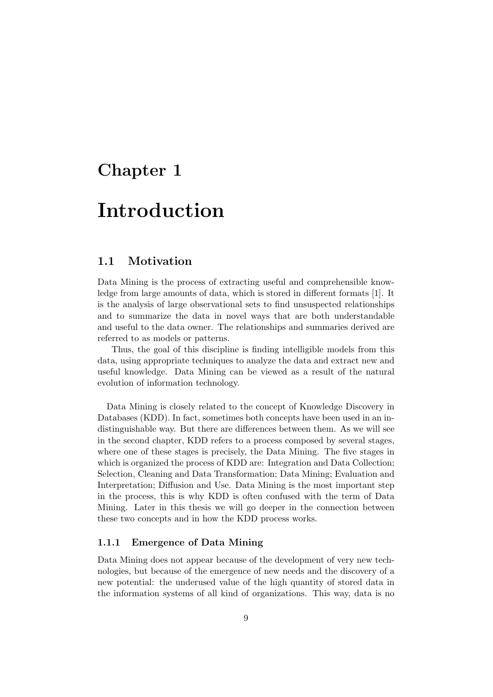### Chapter 1

### Introduction

### 1.1 Motivation

Data Mining is the process of extracting useful and comprehensible knowledge from large amounts of data, which is stored in different formats [1]. It is the analysis of large observational sets to find unsuspected relationships and to summarize the data in novel ways that are both understandable and useful to the data owner. The relationships and summaries derived are referred to as models or patterns.

Thus, the goal of this discipline is finding intelligible models from this data, using appropriate techniques to analyze the data and extract new and useful knowledge. Data Mining can be viewed as a result of the natural evolution of information technology.

Data Mining is closely related to the concept of Knowledge Discovery in Databases (KDD). In fact, sometimes both concepts have been used in an indistinguishable way. But there are differences between them. As we will see in the second chapter, KDD refers to a process composed by several stages, where one of these stages is precisely, the Data Mining. The five stages in which is organized the process of KDD are: Integration and Data Collection; Selection, Cleaning and Data Transformation; Data Mining; Evaluation and Interpretation; Diffusion and Use. Data Mining is the most important step in the process, this is why KDD is often confused with the term of Data Mining. Later in this thesis we will go deeper in the connection between these two concepts and in how the KDD process works.

### 1.1.1 Emergence of Data Mining

Data Mining does not appear because of the development of very new technologies, but because of the emergence of new needs and the discovery of a new potential: the underused value of the high quantity of stored data in the information systems of all kind of organizations. This way, data is no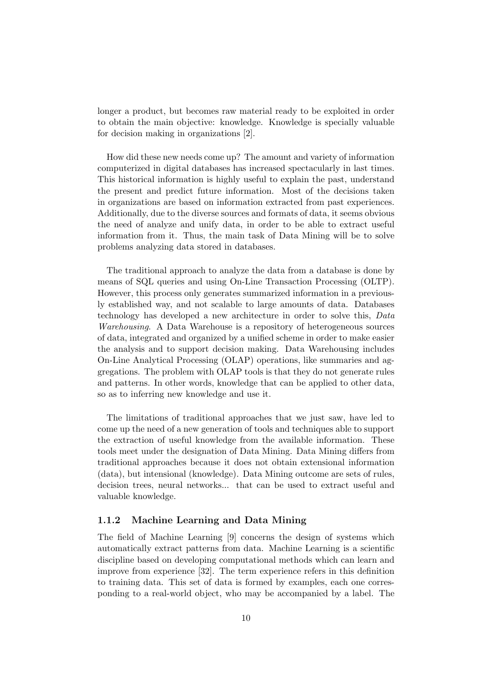longer a product, but becomes raw material ready to be exploited in order to obtain the main objective: knowledge. Knowledge is specially valuable for decision making in organizations [2].

How did these new needs come up? The amount and variety of information computerized in digital databases has increased spectacularly in last times. This historical information is highly useful to explain the past, understand the present and predict future information. Most of the decisions taken in organizations are based on information extracted from past experiences. Additionally, due to the diverse sources and formats of data, it seems obvious the need of analyze and unify data, in order to be able to extract useful information from it. Thus, the main task of Data Mining will be to solve problems analyzing data stored in databases.

The traditional approach to analyze the data from a database is done by means of SQL queries and using On-Line Transaction Processing (OLTP). However, this process only generates summarized information in a previously established way, and not scalable to large amounts of data. Databases technology has developed a new architecture in order to solve this, Data Warehousing. A Data Warehouse is a repository of heterogeneous sources of data, integrated and organized by a unified scheme in order to make easier the analysis and to support decision making. Data Warehousing includes On-Line Analytical Processing (OLAP) operations, like summaries and aggregations. The problem with OLAP tools is that they do not generate rules and patterns. In other words, knowledge that can be applied to other data, so as to inferring new knowledge and use it.

The limitations of traditional approaches that we just saw, have led to come up the need of a new generation of tools and techniques able to support the extraction of useful knowledge from the available information. These tools meet under the designation of Data Mining. Data Mining differs from traditional approaches because it does not obtain extensional information (data), but intensional (knowledge). Data Mining outcome are sets of rules, decision trees, neural networks... that can be used to extract useful and valuable knowledge.

### 1.1.2 Machine Learning and Data Mining

The field of Machine Learning [9] concerns the design of systems which automatically extract patterns from data. Machine Learning is a scientific discipline based on developing computational methods which can learn and improve from experience [32]. The term experience refers in this definition to training data. This set of data is formed by examples, each one corresponding to a real-world object, who may be accompanied by a label. The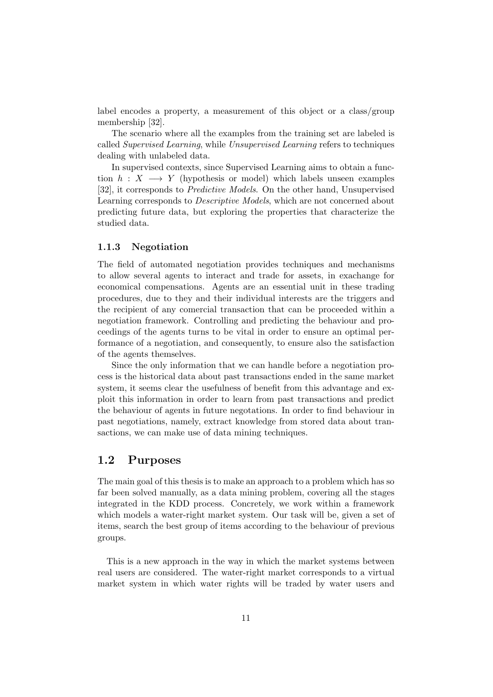label encodes a property, a measurement of this object or a class/group membership [32].

The scenario where all the examples from the training set are labeled is called Supervised Learning, while Unsupervised Learning refers to techniques dealing with unlabeled data.

In supervised contexts, since Supervised Learning aims to obtain a function  $h : X \longrightarrow Y$  (hypothesis or model) which labels unseen examples [32], it corresponds to Predictive Models. On the other hand, Unsupervised Learning corresponds to Descriptive Models, which are not concerned about predicting future data, but exploring the properties that characterize the studied data.

### 1.1.3 Negotiation

The field of automated negotiation provides techniques and mechanisms to allow several agents to interact and trade for assets, in exachange for economical compensations. Agents are an essential unit in these trading procedures, due to they and their individual interests are the triggers and the recipient of any comercial transaction that can be proceeded within a negotiation framework. Controlling and predicting the behaviour and proceedings of the agents turns to be vital in order to ensure an optimal performance of a negotiation, and consequently, to ensure also the satisfaction of the agents themselves.

Since the only information that we can handle before a negotiation process is the historical data about past transactions ended in the same market system, it seems clear the usefulness of benefit from this advantage and exploit this information in order to learn from past transactions and predict the behaviour of agents in future negotations. In order to find behaviour in past negotiations, namely, extract knowledge from stored data about transactions, we can make use of data mining techniques.

### 1.2 Purposes

The main goal of this thesis is to make an approach to a problem which has so far been solved manually, as a data mining problem, covering all the stages integrated in the KDD process. Concretely, we work within a framework which models a water-right market system. Our task will be, given a set of items, search the best group of items according to the behaviour of previous groups.

This is a new approach in the way in which the market systems between real users are considered. The water-right market corresponds to a virtual market system in which water rights will be traded by water users and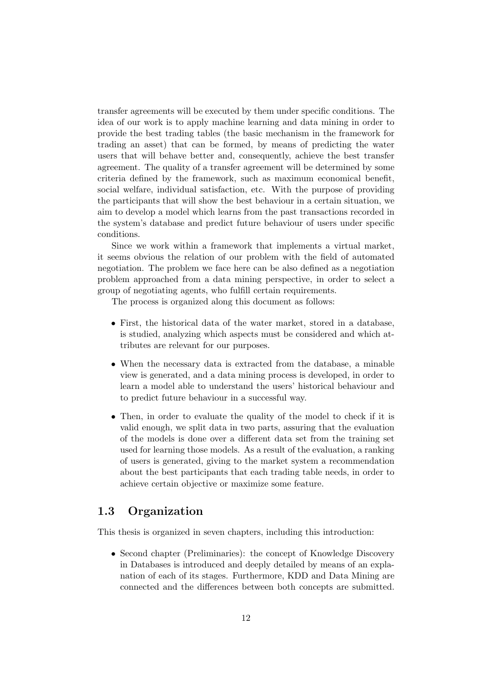transfer agreements will be executed by them under specific conditions. The idea of our work is to apply machine learning and data mining in order to provide the best trading tables (the basic mechanism in the framework for trading an asset) that can be formed, by means of predicting the water users that will behave better and, consequently, achieve the best transfer agreement. The quality of a transfer agreement will be determined by some criteria defined by the framework, such as maximum economical benefit, social welfare, individual satisfaction, etc. With the purpose of providing the participants that will show the best behaviour in a certain situation, we aim to develop a model which learns from the past transactions recorded in the system's database and predict future behaviour of users under specific conditions.

Since we work within a framework that implements a virtual market, it seems obvious the relation of our problem with the field of automated negotiation. The problem we face here can be also defined as a negotiation problem approached from a data mining perspective, in order to select a group of negotiating agents, who fulfill certain requirements.

The process is organized along this document as follows:

- First, the historical data of the water market, stored in a database, is studied, analyzing which aspects must be considered and which attributes are relevant for our purposes.
- When the necessary data is extracted from the database, a minable view is generated, and a data mining process is developed, in order to learn a model able to understand the users' historical behaviour and to predict future behaviour in a successful way.
- Then, in order to evaluate the quality of the model to check if it is valid enough, we split data in two parts, assuring that the evaluation of the models is done over a different data set from the training set used for learning those models. As a result of the evaluation, a ranking of users is generated, giving to the market system a recommendation about the best participants that each trading table needs, in order to achieve certain objective or maximize some feature.

### 1.3 Organization

This thesis is organized in seven chapters, including this introduction:

• Second chapter (Preliminaries): the concept of Knowledge Discovery in Databases is introduced and deeply detailed by means of an explanation of each of its stages. Furthermore, KDD and Data Mining are connected and the differences between both concepts are submitted.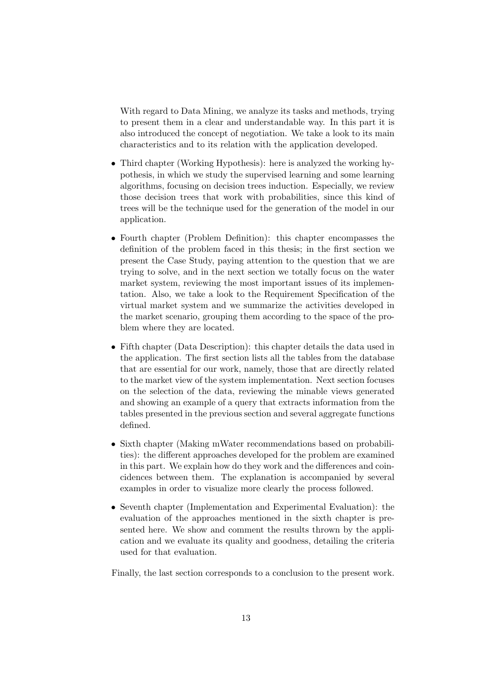With regard to Data Mining, we analyze its tasks and methods, trying to present them in a clear and understandable way. In this part it is also introduced the concept of negotiation. We take a look to its main characteristics and to its relation with the application developed.

- Third chapter (Working Hypothesis): here is analyzed the working hypothesis, in which we study the supervised learning and some learning algorithms, focusing on decision trees induction. Especially, we review those decision trees that work with probabilities, since this kind of trees will be the technique used for the generation of the model in our application.
- Fourth chapter (Problem Definition): this chapter encompasses the definition of the problem faced in this thesis; in the first section we present the Case Study, paying attention to the question that we are trying to solve, and in the next section we totally focus on the water market system, reviewing the most important issues of its implementation. Also, we take a look to the Requirement Specification of the virtual market system and we summarize the activities developed in the market scenario, grouping them according to the space of the problem where they are located.
- Fifth chapter (Data Description): this chapter details the data used in the application. The first section lists all the tables from the database that are essential for our work, namely, those that are directly related to the market view of the system implementation. Next section focuses on the selection of the data, reviewing the minable views generated and showing an example of a query that extracts information from the tables presented in the previous section and several aggregate functions defined.
- Sixth chapter (Making mWater recommendations based on probabilities): the different approaches developed for the problem are examined in this part. We explain how do they work and the differences and coincidences between them. The explanation is accompanied by several examples in order to visualize more clearly the process followed.
- Seventh chapter (Implementation and Experimental Evaluation): the evaluation of the approaches mentioned in the sixth chapter is presented here. We show and comment the results thrown by the application and we evaluate its quality and goodness, detailing the criteria used for that evaluation.

Finally, the last section corresponds to a conclusion to the present work.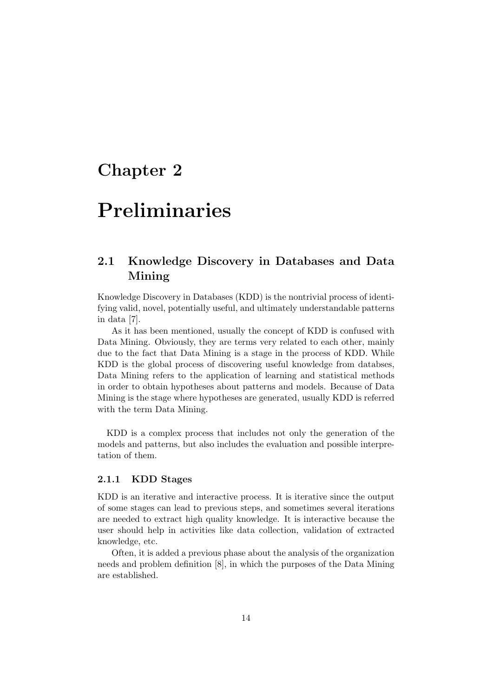### Chapter 2

## Preliminaries

### 2.1 Knowledge Discovery in Databases and Data Mining

Knowledge Discovery in Databases (KDD) is the nontrivial process of identifying valid, novel, potentially useful, and ultimately understandable patterns in data [7].

As it has been mentioned, usually the concept of KDD is confused with Data Mining. Obviously, they are terms very related to each other, mainly due to the fact that Data Mining is a stage in the process of KDD. While KDD is the global process of discovering useful knowledge from databses, Data Mining refers to the application of learning and statistical methods in order to obtain hypotheses about patterns and models. Because of Data Mining is the stage where hypotheses are generated, usually KDD is referred with the term Data Mining.

KDD is a complex process that includes not only the generation of the models and patterns, but also includes the evaluation and possible interpretation of them.

#### 2.1.1 KDD Stages

KDD is an iterative and interactive process. It is iterative since the output of some stages can lead to previous steps, and sometimes several iterations are needed to extract high quality knowledge. It is interactive because the user should help in activities like data collection, validation of extracted knowledge, etc.

Often, it is added a previous phase about the analysis of the organization needs and problem definition [8], in which the purposes of the Data Mining are established.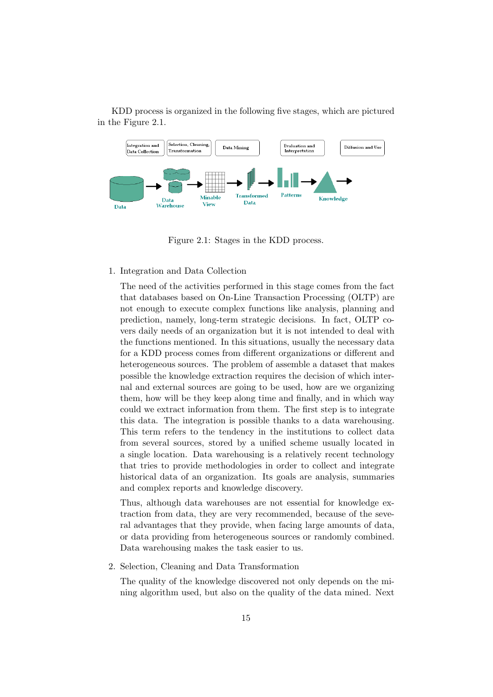

KDD process is organized in the following five stages, which are pictured in the Figure 2.1.

Figure 2.1: Stages in the KDD process.

#### 1. Integration and Data Collection

The need of the activities performed in this stage comes from the fact that databases based on On-Line Transaction Processing (OLTP) are not enough to execute complex functions like analysis, planning and prediction, namely, long-term strategic decisions. In fact, OLTP covers daily needs of an organization but it is not intended to deal with the functions mentioned. In this situations, usually the necessary data for a KDD process comes from different organizations or different and heterogeneous sources. The problem of assemble a dataset that makes possible the knowledge extraction requires the decision of which internal and external sources are going to be used, how are we organizing them, how will be they keep along time and finally, and in which way could we extract information from them. The first step is to integrate this data. The integration is possible thanks to a data warehousing. This term refers to the tendency in the institutions to collect data from several sources, stored by a unified scheme usually located in a single location. Data warehousing is a relatively recent technology that tries to provide methodologies in order to collect and integrate historical data of an organization. Its goals are analysis, summaries and complex reports and knowledge discovery.

Thus, although data warehouses are not essential for knowledge extraction from data, they are very recommended, because of the several advantages that they provide, when facing large amounts of data, or data providing from heterogeneous sources or randomly combined. Data warehousing makes the task easier to us.

2. Selection, Cleaning and Data Transformation

The quality of the knowledge discovered not only depends on the mining algorithm used, but also on the quality of the data mined. Next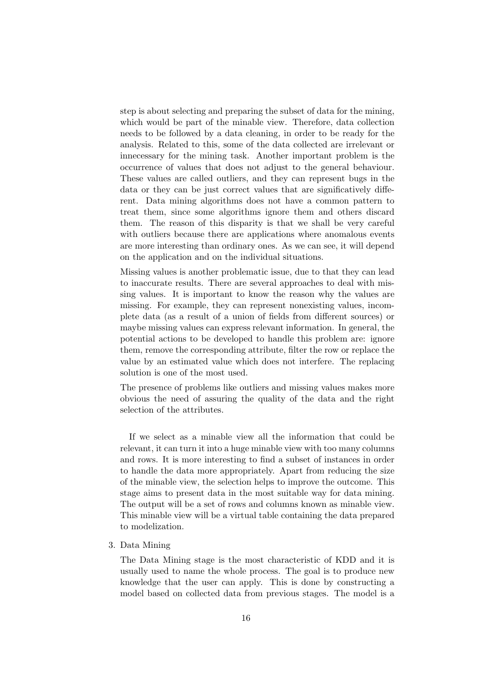step is about selecting and preparing the subset of data for the mining, which would be part of the minable view. Therefore, data collection needs to be followed by a data cleaning, in order to be ready for the analysis. Related to this, some of the data collected are irrelevant or innecessary for the mining task. Another important problem is the occurrence of values that does not adjust to the general behaviour. These values are called outliers, and they can represent bugs in the data or they can be just correct values that are significatively different. Data mining algorithms does not have a common pattern to treat them, since some algorithms ignore them and others discard them. The reason of this disparity is that we shall be very careful with outliers because there are applications where anomalous events are more interesting than ordinary ones. As we can see, it will depend on the application and on the individual situations.

Missing values is another problematic issue, due to that they can lead to inaccurate results. There are several approaches to deal with missing values. It is important to know the reason why the values are missing. For example, they can represent nonexisting values, incomplete data (as a result of a union of fields from different sources) or maybe missing values can express relevant information. In general, the potential actions to be developed to handle this problem are: ignore them, remove the corresponding attribute, filter the row or replace the value by an estimated value which does not interfere. The replacing solution is one of the most used.

The presence of problems like outliers and missing values makes more obvious the need of assuring the quality of the data and the right selection of the attributes.

If we select as a minable view all the information that could be relevant, it can turn it into a huge minable view with too many columns and rows. It is more interesting to find a subset of instances in order to handle the data more appropriately. Apart from reducing the size of the minable view, the selection helps to improve the outcome. This stage aims to present data in the most suitable way for data mining. The output will be a set of rows and columns known as minable view. This minable view will be a virtual table containing the data prepared to modelization.

3. Data Mining

The Data Mining stage is the most characteristic of KDD and it is usually used to name the whole process. The goal is to produce new knowledge that the user can apply. This is done by constructing a model based on collected data from previous stages. The model is a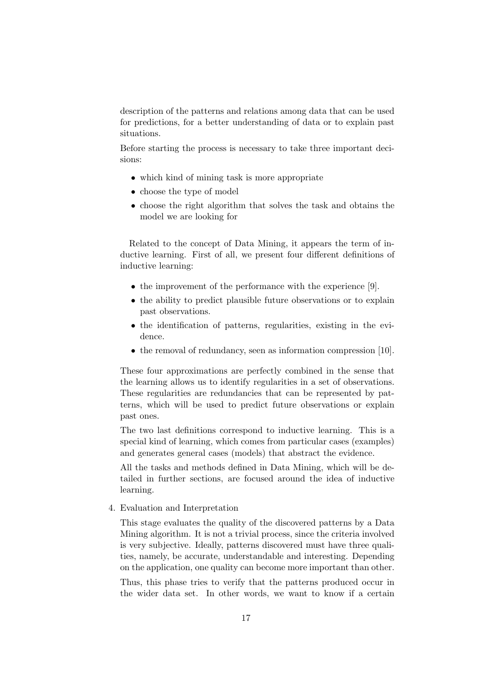description of the patterns and relations among data that can be used for predictions, for a better understanding of data or to explain past situations.

Before starting the process is necessary to take three important decisions:

- which kind of mining task is more appropriate
- choose the type of model
- choose the right algorithm that solves the task and obtains the model we are looking for

Related to the concept of Data Mining, it appears the term of inductive learning. First of all, we present four different definitions of inductive learning:

- the improvement of the performance with the experience [9].
- the ability to predict plausible future observations or to explain past observations.
- the identification of patterns, regularities, existing in the evidence.
- the removal of redundancy, seen as information compression [10].

These four approximations are perfectly combined in the sense that the learning allows us to identify regularities in a set of observations. These regularities are redundancies that can be represented by patterns, which will be used to predict future observations or explain past ones.

The two last definitions correspond to inductive learning. This is a special kind of learning, which comes from particular cases (examples) and generates general cases (models) that abstract the evidence.

All the tasks and methods defined in Data Mining, which will be detailed in further sections, are focused around the idea of inductive learning.

4. Evaluation and Interpretation

This stage evaluates the quality of the discovered patterns by a Data Mining algorithm. It is not a trivial process, since the criteria involved is very subjective. Ideally, patterns discovered must have three qualities, namely, be accurate, understandable and interesting. Depending on the application, one quality can become more important than other.

Thus, this phase tries to verify that the patterns produced occur in the wider data set. In other words, we want to know if a certain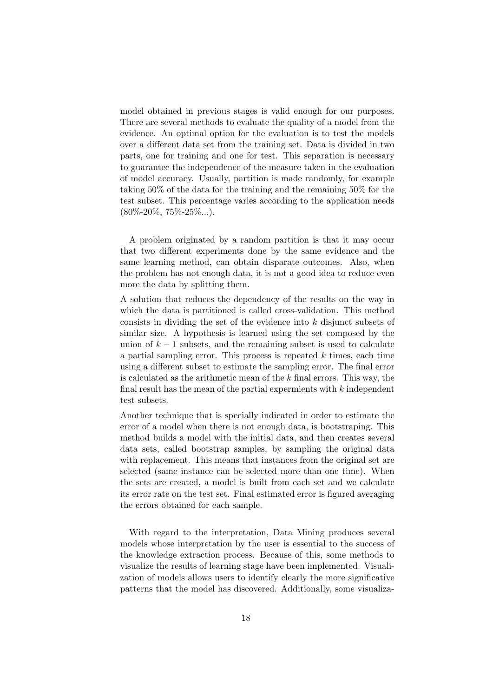model obtained in previous stages is valid enough for our purposes. There are several methods to evaluate the quality of a model from the evidence. An optimal option for the evaluation is to test the models over a different data set from the training set. Data is divided in two parts, one for training and one for test. This separation is necessary to guarantee the independence of the measure taken in the evaluation of model accuracy. Usually, partition is made randomly, for example taking 50% of the data for the training and the remaining 50% for the test subset. This percentage varies according to the application needs  $(80\% - 20\%, 75\% - 25\% ...)$ .

A problem originated by a random partition is that it may occur that two different experiments done by the same evidence and the same learning method, can obtain disparate outcomes. Also, when the problem has not enough data, it is not a good idea to reduce even more the data by splitting them.

A solution that reduces the dependency of the results on the way in which the data is partitioned is called cross-validation. This method consists in dividing the set of the evidence into k disjunct subsets of similar size. A hypothesis is learned using the set composed by the union of  $k-1$  subsets, and the remaining subset is used to calculate a partial sampling error. This process is repeated  $k$  times, each time using a different subset to estimate the sampling error. The final error is calculated as the arithmetic mean of the  $k$  final errors. This way, the final result has the mean of the partial expermients with  $k$  independent test subsets.

Another technique that is specially indicated in order to estimate the error of a model when there is not enough data, is bootstraping. This method builds a model with the initial data, and then creates several data sets, called bootstrap samples, by sampling the original data with replacement. This means that instances from the original set are selected (same instance can be selected more than one time). When the sets are created, a model is built from each set and we calculate its error rate on the test set. Final estimated error is figured averaging the errors obtained for each sample.

With regard to the interpretation, Data Mining produces several models whose interpretation by the user is essential to the success of the knowledge extraction process. Because of this, some methods to visualize the results of learning stage have been implemented. Visualization of models allows users to identify clearly the more significative patterns that the model has discovered. Additionally, some visualiza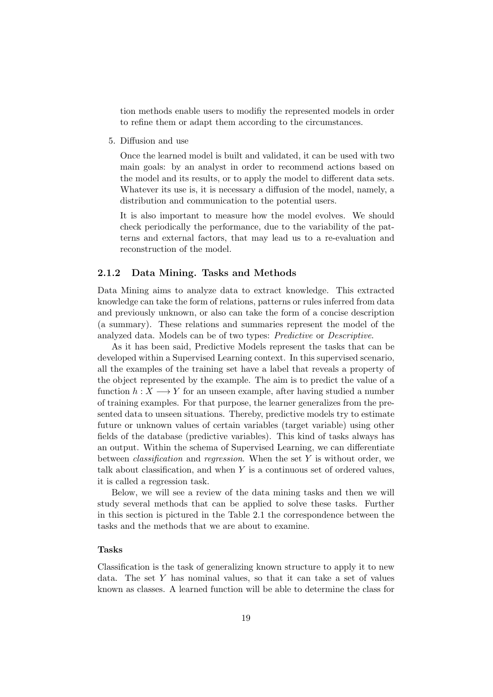tion methods enable users to modifiy the represented models in order to refine them or adapt them according to the circumstances.

5. Diffusion and use

Once the learned model is built and validated, it can be used with two main goals: by an analyst in order to recommend actions based on the model and its results, or to apply the model to different data sets. Whatever its use is, it is necessary a diffusion of the model, namely, a distribution and communication to the potential users.

It is also important to measure how the model evolves. We should check periodically the performance, due to the variability of the patterns and external factors, that may lead us to a re-evaluation and reconstruction of the model.

### 2.1.2 Data Mining. Tasks and Methods

Data Mining aims to analyze data to extract knowledge. This extracted knowledge can take the form of relations, patterns or rules inferred from data and previously unknown, or also can take the form of a concise description (a summary). These relations and summaries represent the model of the analyzed data. Models can be of two types: Predictive or Descriptive.

As it has been said, Predictive Models represent the tasks that can be developed within a Supervised Learning context. In this supervised scenario, all the examples of the training set have a label that reveals a property of the object represented by the example. The aim is to predict the value of a function  $h: X \longrightarrow Y$  for an unseen example, after having studied a number of training examples. For that purpose, the learner generalizes from the presented data to unseen situations. Thereby, predictive models try to estimate future or unknown values of certain variables (target variable) using other fields of the database (predictive variables). This kind of tasks always has an output. Within the schema of Supervised Learning, we can differentiate between *classification* and *regression*. When the set  $Y$  is without order, we talk about classification, and when  $Y$  is a continuous set of ordered values, it is called a regression task.

Below, we will see a review of the data mining tasks and then we will study several methods that can be applied to solve these tasks. Further in this section is pictured in the Table 2.1 the correspondence between the tasks and the methods that we are about to examine.

#### Tasks

Classification is the task of generalizing known structure to apply it to new data. The set Y has nominal values, so that it can take a set of values known as classes. A learned function will be able to determine the class for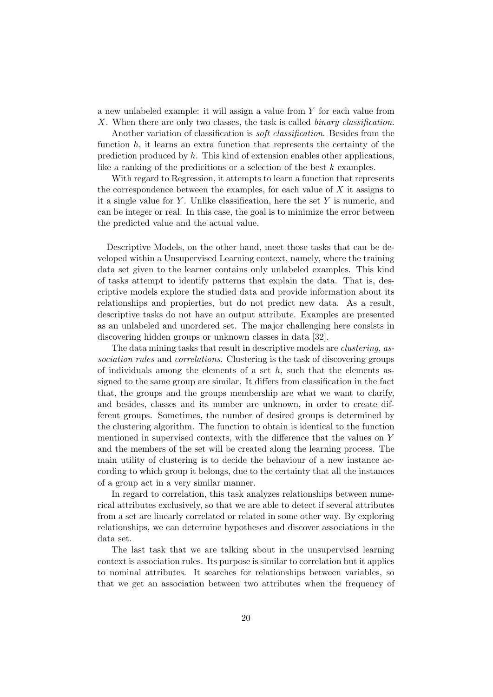a new unlabeled example: it will assign a value from Y for each value from X. When there are only two classes, the task is called *binary classification*.

Another variation of classification is soft classification. Besides from the function  $h$ , it learns an extra function that represents the certainty of the prediction produced by  $h$ . This kind of extension enables other applications, like a ranking of the predicitions or a selection of the best k examples.

With regard to Regression, it attempts to learn a function that represents the correspondence between the examples, for each value of  $X$  it assigns to it a single value for Y. Unlike classification, here the set  $Y$  is numeric, and can be integer or real. In this case, the goal is to minimize the error between the predicted value and the actual value.

Descriptive Models, on the other hand, meet those tasks that can be developed within a Unsupervised Learning context, namely, where the training data set given to the learner contains only unlabeled examples. This kind of tasks attempt to identify patterns that explain the data. That is, descriptive models explore the studied data and provide information about its relationships and propierties, but do not predict new data. As a result, descriptive tasks do not have an output attribute. Examples are presented as an unlabeled and unordered set. The major challenging here consists in discovering hidden groups or unknown classes in data [32].

The data mining tasks that result in descriptive models are clustering, association rules and correlations. Clustering is the task of discovering groups of individuals among the elements of a set  $h$ , such that the elements assigned to the same group are similar. It differs from classification in the fact that, the groups and the groups membership are what we want to clarify, and besides, classes and its number are unknown, in order to create different groups. Sometimes, the number of desired groups is determined by the clustering algorithm. The function to obtain is identical to the function mentioned in supervised contexts, with the difference that the values on Y and the members of the set will be created along the learning process. The main utility of clustering is to decide the behaviour of a new instance according to which group it belongs, due to the certainty that all the instances of a group act in a very similar manner.

In regard to correlation, this task analyzes relationships between numerical attributes exclusively, so that we are able to detect if several attributes from a set are linearly correlated or related in some other way. By exploring relationships, we can determine hypotheses and discover associations in the data set.

The last task that we are talking about in the unsupervised learning context is association rules. Its purpose is similar to correlation but it applies to nominal attributes. It searches for relationships between variables, so that we get an association between two attributes when the frequency of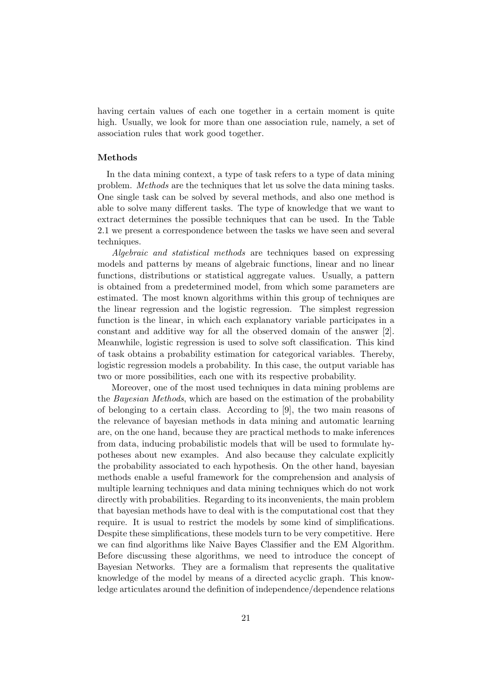having certain values of each one together in a certain moment is quite high. Usually, we look for more than one association rule, namely, a set of association rules that work good together.

#### Methods

In the data mining context, a type of task refers to a type of data mining problem. Methods are the techniques that let us solve the data mining tasks. One single task can be solved by several methods, and also one method is able to solve many different tasks. The type of knowledge that we want to extract determines the possible techniques that can be used. In the Table 2.1 we present a correspondence between the tasks we have seen and several techniques.

Algebraic and statistical methods are techniques based on expressing models and patterns by means of algebraic functions, linear and no linear functions, distributions or statistical aggregate values. Usually, a pattern is obtained from a predetermined model, from which some parameters are estimated. The most known algorithms within this group of techniques are the linear regression and the logistic regression. The simplest regression function is the linear, in which each explanatory variable participates in a constant and additive way for all the observed domain of the answer [2]. Meanwhile, logistic regression is used to solve soft classification. This kind of task obtains a probability estimation for categorical variables. Thereby, logistic regression models a probability. In this case, the output variable has two or more possibilities, each one with its respective probability.

Moreover, one of the most used techniques in data mining problems are the Bayesian Methods, which are based on the estimation of the probability of belonging to a certain class. According to [9], the two main reasons of the relevance of bayesian methods in data mining and automatic learning are, on the one hand, because they are practical methods to make inferences from data, inducing probabilistic models that will be used to formulate hypotheses about new examples. And also because they calculate explicitly the probability associated to each hypothesis. On the other hand, bayesian methods enable a useful framework for the comprehension and analysis of multiple learning techniques and data mining techniques which do not work directly with probabilities. Regarding to its inconvenients, the main problem that bayesian methods have to deal with is the computational cost that they require. It is usual to restrict the models by some kind of simplifications. Despite these simplifications, these models turn to be very competitive. Here we can find algorithms like Naive Bayes Classifier and the EM Algorithm. Before discussing these algorithms, we need to introduce the concept of Bayesian Networks. They are a formalism that represents the qualitative knowledge of the model by means of a directed acyclic graph. This knowledge articulates around the definition of independence/dependence relations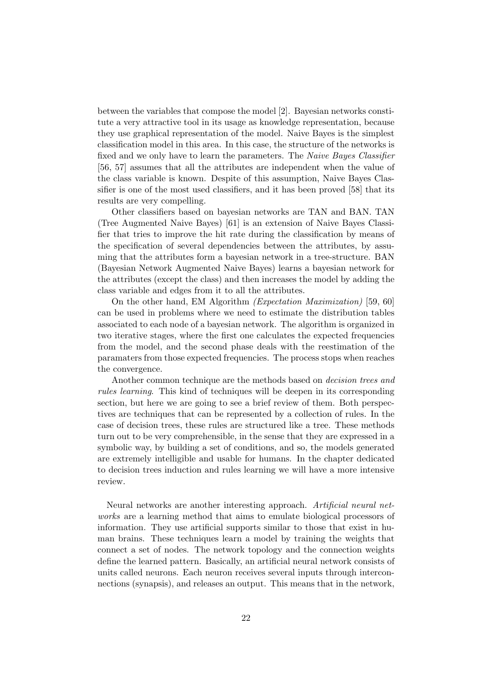between the variables that compose the model [2]. Bayesian networks constitute a very attractive tool in its usage as knowledge representation, because they use graphical representation of the model. Naive Bayes is the simplest classification model in this area. In this case, the structure of the networks is fixed and we only have to learn the parameters. The Naive Bayes Classifier [56, 57] assumes that all the attributes are independent when the value of the class variable is known. Despite of this assumption, Naive Bayes Classifier is one of the most used classifiers, and it has been proved [58] that its results are very compelling.

Other classifiers based on bayesian networks are TAN and BAN. TAN (Tree Augmented Naive Bayes) [61] is an extension of Naive Bayes Classifier that tries to improve the hit rate during the classification by means of the specification of several dependencies between the attributes, by assuming that the attributes form a bayesian network in a tree-structure. BAN (Bayesian Network Augmented Naive Bayes) learns a bayesian network for the attributes (except the class) and then increases the model by adding the class variable and edges from it to all the attributes.

On the other hand, EM Algorithm (Expectation Maximization) [59, 60] can be used in problems where we need to estimate the distribution tables associated to each node of a bayesian network. The algorithm is organized in two iterative stages, where the first one calculates the expected frequencies from the model, and the second phase deals with the reestimation of the paramaters from those expected frequencies. The process stops when reaches the convergence.

Another common technique are the methods based on decision trees and rules learning. This kind of techniques will be deepen in its corresponding section, but here we are going to see a brief review of them. Both perspectives are techniques that can be represented by a collection of rules. In the case of decision trees, these rules are structured like a tree. These methods turn out to be very comprehensible, in the sense that they are expressed in a symbolic way, by building a set of conditions, and so, the models generated are extremely intelligible and usable for humans. In the chapter dedicated to decision trees induction and rules learning we will have a more intensive review.

Neural networks are another interesting approach. Artificial neural networks are a learning method that aims to emulate biological processors of information. They use artificial supports similar to those that exist in human brains. These techniques learn a model by training the weights that connect a set of nodes. The network topology and the connection weights define the learned pattern. Basically, an artificial neural network consists of units called neurons. Each neuron receives several inputs through interconnections (synapsis), and releases an output. This means that in the network,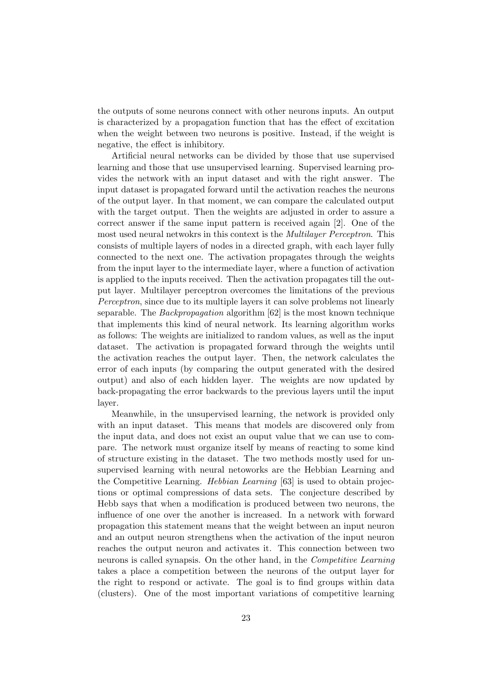the outputs of some neurons connect with other neurons inputs. An output is characterized by a propagation function that has the effect of excitation when the weight between two neurons is positive. Instead, if the weight is negative, the effect is inhibitory.

Artificial neural networks can be divided by those that use supervised learning and those that use unsupervised learning. Supervised learning provides the network with an input dataset and with the right answer. The input dataset is propagated forward until the activation reaches the neurons of the output layer. In that moment, we can compare the calculated output with the target output. Then the weights are adjusted in order to assure a correct answer if the same input pattern is received again [2]. One of the most used neural netwokrs in this context is the Multilayer Perceptron. This consists of multiple layers of nodes in a directed graph, with each layer fully connected to the next one. The activation propagates through the weights from the input layer to the intermediate layer, where a function of activation is applied to the inputs received. Then the activation propagates till the output layer. Multilayer perceptron overcomes the limitations of the previous Perceptron, since due to its multiple layers it can solve problems not linearly separable. The Backpropagation algorithm [62] is the most known technique that implements this kind of neural network. Its learning algorithm works as follows: The weights are initialized to random values, as well as the input dataset. The activation is propagated forward through the weights until the activation reaches the output layer. Then, the network calculates the error of each inputs (by comparing the output generated with the desired output) and also of each hidden layer. The weights are now updated by back-propagating the error backwards to the previous layers until the input layer.

Meanwhile, in the unsupervised learning, the network is provided only with an input dataset. This means that models are discovered only from the input data, and does not exist an ouput value that we can use to compare. The network must organize itself by means of reacting to some kind of structure existing in the dataset. The two methods mostly used for unsupervised learning with neural netoworks are the Hebbian Learning and the Competitive Learning. Hebbian Learning [63] is used to obtain projections or optimal compressions of data sets. The conjecture described by Hebb says that when a modification is produced between two neurons, the influence of one over the another is increased. In a network with forward propagation this statement means that the weight between an input neuron and an output neuron strengthens when the activation of the input neuron reaches the output neuron and activates it. This connection between two neurons is called synapsis. On the other hand, in the Competitive Learning takes a place a competition between the neurons of the output layer for the right to respond or activate. The goal is to find groups within data (clusters). One of the most important variations of competitive learning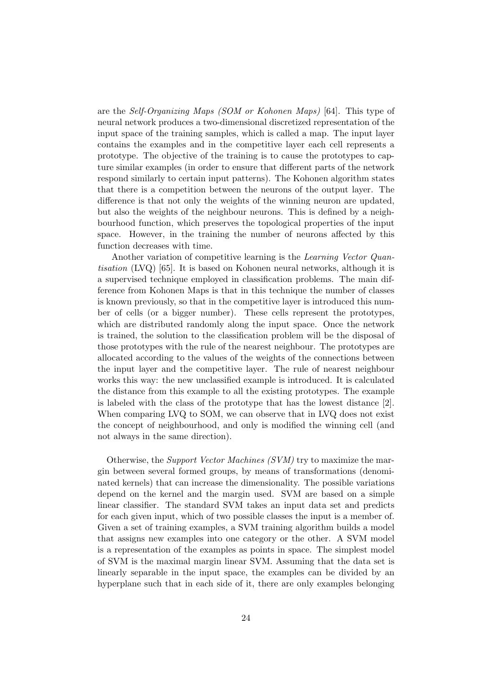are the Self-Organizing Maps (SOM or Kohonen Maps) [64]. This type of neural network produces a two-dimensional discretized representation of the input space of the training samples, which is called a map. The input layer contains the examples and in the competitive layer each cell represents a prototype. The objective of the training is to cause the prototypes to capture similar examples (in order to ensure that different parts of the network respond similarly to certain input patterns). The Kohonen algorithm states that there is a competition between the neurons of the output layer. The difference is that not only the weights of the winning neuron are updated, but also the weights of the neighbour neurons. This is defined by a neighbourhood function, which preserves the topological properties of the input space. However, in the training the number of neurons affected by this function decreases with time.

Another variation of competitive learning is the Learning Vector Quantisation (LVQ) [65]. It is based on Kohonen neural networks, although it is a supervised technique employed in classification problems. The main difference from Kohonen Maps is that in this technique the number of classes is known previously, so that in the competitive layer is introduced this number of cells (or a bigger number). These cells represent the prototypes, which are distributed randomly along the input space. Once the network is trained, the solution to the classification problem will be the disposal of those prototypes with the rule of the nearest neighbour. The prototypes are allocated according to the values of the weights of the connections between the input layer and the competitive layer. The rule of nearest neighbour works this way: the new unclassified example is introduced. It is calculated the distance from this example to all the existing prototypes. The example is labeled with the class of the prototype that has the lowest distance [2]. When comparing LVQ to SOM, we can observe that in LVQ does not exist the concept of neighbourhood, and only is modified the winning cell (and not always in the same direction).

Otherwise, the Support Vector Machines (SVM) try to maximize the margin between several formed groups, by means of transformations (denominated kernels) that can increase the dimensionality. The possible variations depend on the kernel and the margin used. SVM are based on a simple linear classifier. The standard SVM takes an input data set and predicts for each given input, which of two possible classes the input is a member of. Given a set of training examples, a SVM training algorithm builds a model that assigns new examples into one category or the other. A SVM model is a representation of the examples as points in space. The simplest model of SVM is the maximal margin linear SVM. Assuming that the data set is linearly separable in the input space, the examples can be divided by an hyperplane such that in each side of it, there are only examples belonging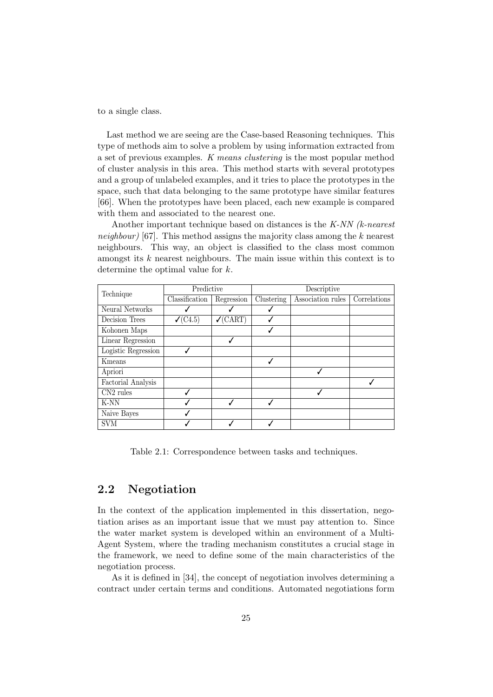to a single class.

Last method we are seeing are the Case-based Reasoning techniques. This type of methods aim to solve a problem by using information extracted from a set of previous examples. K means clustering is the most popular method of cluster analysis in this area. This method starts with several prototypes and a group of unlabeled examples, and it tries to place the prototypes in the space, such that data belonging to the same prototype have similar features [66]. When the prototypes have been placed, each new example is compared with them and associated to the nearest one.

Another important technique based on distances is the K-NN (k-nearest *neighbour*) [67]. This method assigns the majority class among the k nearest neighbours. This way, an object is classified to the class most common amongst its  $k$  nearest neighbours. The main issue within this context is to determine the optimal value for k.

|                       | Predictive          |                     | Descriptive |                   |              |  |  |  |  |  |
|-----------------------|---------------------|---------------------|-------------|-------------------|--------------|--|--|--|--|--|
| Technique             | Classification      | Regression          | Clustering  | Association rules | Correlations |  |  |  |  |  |
| Neural Networks       |                     |                     |             |                   |              |  |  |  |  |  |
| Decision Trees        | $\checkmark$ (C4.5) | $\checkmark$ (CART) |             |                   |              |  |  |  |  |  |
| Kohonen Maps          |                     |                     |             |                   |              |  |  |  |  |  |
| Linear Regression     |                     |                     |             |                   |              |  |  |  |  |  |
| Logistic Regression   |                     |                     |             |                   |              |  |  |  |  |  |
| Kmeans                |                     |                     | J           |                   |              |  |  |  |  |  |
| Apriori               |                     |                     |             |                   |              |  |  |  |  |  |
| Factorial Analysis    |                     |                     |             |                   |              |  |  |  |  |  |
| CN <sub>2</sub> rules | J                   |                     |             |                   |              |  |  |  |  |  |
| K-NN                  |                     |                     |             |                   |              |  |  |  |  |  |
| Naive Bayes           |                     |                     |             |                   |              |  |  |  |  |  |
| <b>SVM</b>            |                     |                     |             |                   |              |  |  |  |  |  |

Table 2.1: Correspondence between tasks and techniques.

### 2.2 Negotiation

In the context of the application implemented in this dissertation, negotiation arises as an important issue that we must pay attention to. Since the water market system is developed within an environment of a Multi-Agent System, where the trading mechanism constitutes a crucial stage in the framework, we need to define some of the main characteristics of the negotiation process.

As it is defined in [34], the concept of negotiation involves determining a contract under certain terms and conditions. Automated negotiations form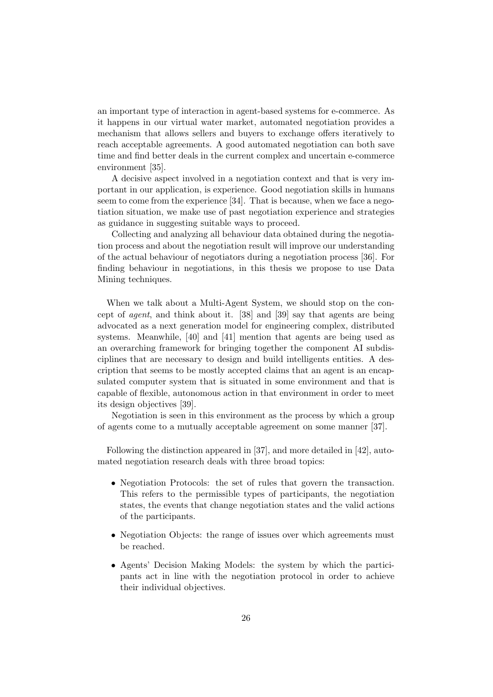an important type of interaction in agent-based systems for e-commerce. As it happens in our virtual water market, automated negotiation provides a mechanism that allows sellers and buyers to exchange offers iteratively to reach acceptable agreements. A good automated negotiation can both save time and find better deals in the current complex and uncertain e-commerce environment [35].

A decisive aspect involved in a negotiation context and that is very important in our application, is experience. Good negotiation skills in humans seem to come from the experience [34]. That is because, when we face a negotiation situation, we make use of past negotiation experience and strategies as guidance in suggesting suitable ways to proceed.

Collecting and analyzing all behaviour data obtained during the negotiation process and about the negotiation result will improve our understanding of the actual behaviour of negotiators during a negotiation process [36]. For finding behaviour in negotiations, in this thesis we propose to use Data Mining techniques.

When we talk about a Multi-Agent System, we should stop on the concept of agent, and think about it. [38] and [39] say that agents are being advocated as a next generation model for engineering complex, distributed systems. Meanwhile, [40] and [41] mention that agents are being used as an overarching framework for bringing together the component AI subdisciplines that are necessary to design and build intelligents entities. A description that seems to be mostly accepted claims that an agent is an encapsulated computer system that is situated in some environment and that is capable of flexible, autonomous action in that environment in order to meet its design objectives [39].

Negotiation is seen in this environment as the process by which a group of agents come to a mutually acceptable agreement on some manner [37].

Following the distinction appeared in [37], and more detailed in [42], automated negotiation research deals with three broad topics:

- Negotiation Protocols: the set of rules that govern the transaction. This refers to the permissible types of participants, the negotiation states, the events that change negotiation states and the valid actions of the participants.
- Negotiation Objects: the range of issues over which agreements must be reached.
- Agents' Decision Making Models: the system by which the participants act in line with the negotiation protocol in order to achieve their individual objectives.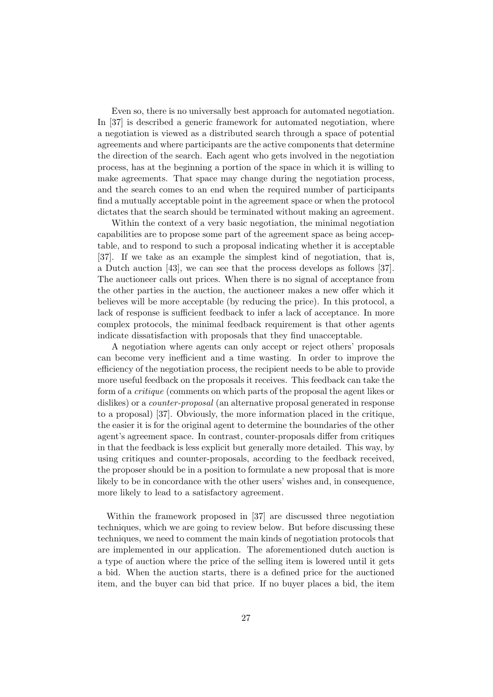Even so, there is no universally best approach for automated negotiation. In [37] is described a generic framework for automated negotiation, where a negotiation is viewed as a distributed search through a space of potential agreements and where participants are the active components that determine the direction of the search. Each agent who gets involved in the negotiation process, has at the beginning a portion of the space in which it is willing to make agreements. That space may change during the negotiation process, and the search comes to an end when the required number of participants find a mutually acceptable point in the agreement space or when the protocol dictates that the search should be terminated without making an agreement.

Within the context of a very basic negotiation, the minimal negotiation capabilities are to propose some part of the agreement space as being acceptable, and to respond to such a proposal indicating whether it is acceptable [37]. If we take as an example the simplest kind of negotiation, that is, a Dutch auction [43], we can see that the process develops as follows [37]. The auctioneer calls out prices. When there is no signal of acceptance from the other parties in the auction, the auctioneer makes a new offer which it believes will be more acceptable (by reducing the price). In this protocol, a lack of response is sufficient feedback to infer a lack of acceptance. In more complex protocols, the minimal feedback requirement is that other agents indicate dissatisfaction with proposals that they find unacceptable.

A negotiation where agents can only accept or reject others' proposals can become very inefficient and a time wasting. In order to improve the efficiency of the negotiation process, the recipient needs to be able to provide more useful feedback on the proposals it receives. This feedback can take the form of a critique (comments on which parts of the proposal the agent likes or dislikes) or a *counter-proposal* (an alternative proposal generated in response to a proposal) [37]. Obviously, the more information placed in the critique, the easier it is for the original agent to determine the boundaries of the other agent's agreement space. In contrast, counter-proposals differ from critiques in that the feedback is less explicit but generally more detailed. This way, by using critiques and counter-proposals, according to the feedback received, the proposer should be in a position to formulate a new proposal that is more likely to be in concordance with the other users' wishes and, in consequence, more likely to lead to a satisfactory agreement.

Within the framework proposed in [37] are discussed three negotiation techniques, which we are going to review below. But before discussing these techniques, we need to comment the main kinds of negotiation protocols that are implemented in our application. The aforementioned dutch auction is a type of auction where the price of the selling item is lowered until it gets a bid. When the auction starts, there is a defined price for the auctioned item, and the buyer can bid that price. If no buyer places a bid, the item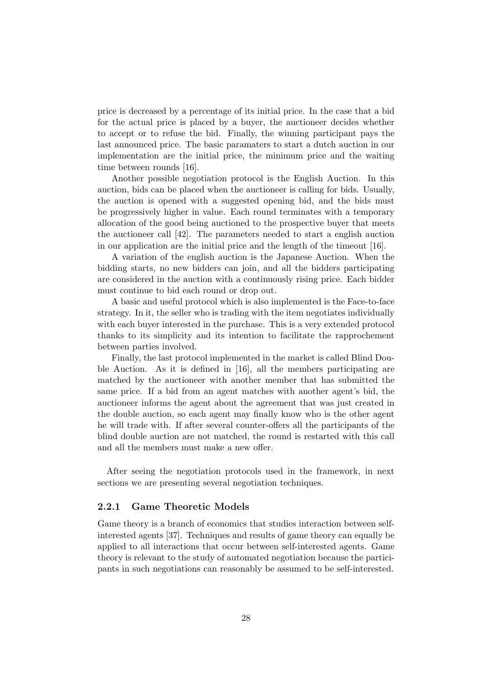price is decreased by a percentage of its initial price. In the case that a bid for the actual price is placed by a buyer, the auctioneer decides whether to accept or to refuse the bid. Finally, the winning participant pays the last announced price. The basic paramaters to start a dutch auction in our implementation are the initial price, the minimum price and the waiting time between rounds [16].

Another possible negotiation protocol is the English Auction. In this auction, bids can be placed when the auctioneer is calling for bids. Usually, the auction is opened with a suggested opening bid, and the bids must be progressively higher in value. Each round terminates with a temporary allocation of the good being auctioned to the prospective buyer that meets the auctioneer call [42]. The parameters needed to start a english auction in our application are the initial price and the length of the timeout [16].

A variation of the english auction is the Japanese Auction. When the bidding starts, no new bidders can join, and all the bidders participating are considered in the auction with a continuously rising price. Each bidder must continue to bid each round or drop out.

A basic and useful protocol which is also implemented is the Face-to-face strategy. In it, the seller who is trading with the item negotiates individually with each buyer interested in the purchase. This is a very extended protocol thanks to its simplicity and its intention to facilitate the rapprochement between parties involved.

Finally, the last protocol implemented in the market is called Blind Double Auction. As it is defined in [16], all the members participating are matched by the auctioneer with another member that has submitted the same price. If a bid from an agent matches with another agent's bid, the auctioneer informs the agent about the agreement that was just created in the double auction, so each agent may finally know who is the other agent he will trade with. If after several counter-offers all the participants of the blind double auction are not matched, the round is restarted with this call and all the members must make a new offer.

After seeing the negotiation protocols used in the framework, in next sections we are presenting several negotiation techniques.

#### 2.2.1 Game Theoretic Models

Game theory is a branch of economics that studies interaction between selfinterested agents [37]. Techniques and results of game theory can equally be applied to all interactions that occur between self-interested agents. Game theory is relevant to the study of automated negotiation because the participants in such negotiations can reasonably be assumed to be self-interested.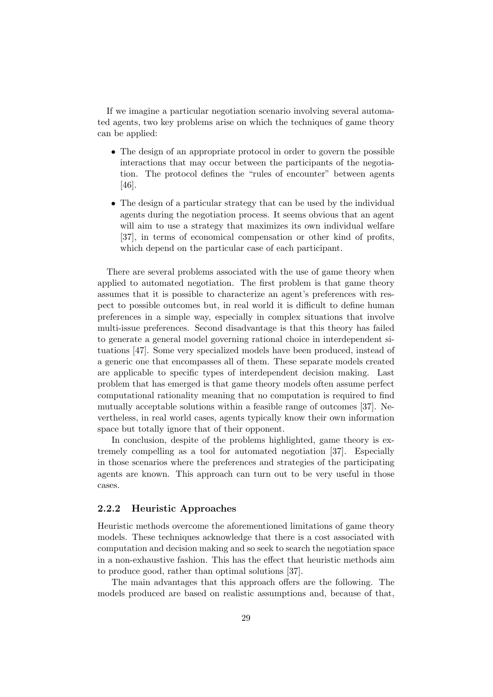If we imagine a particular negotiation scenario involving several automated agents, two key problems arise on which the techniques of game theory can be applied:

- The design of an appropriate protocol in order to govern the possible interactions that may occur between the participants of the negotiation. The protocol defines the "rules of encounter" between agents [46].
- The design of a particular strategy that can be used by the individual agents during the negotiation process. It seems obvious that an agent will aim to use a strategy that maximizes its own individual welfare [37], in terms of economical compensation or other kind of profits, which depend on the particular case of each participant.

There are several problems associated with the use of game theory when applied to automated negotiation. The first problem is that game theory assumes that it is possible to characterize an agent's preferences with respect to possible outcomes but, in real world it is difficult to define human preferences in a simple way, especially in complex situations that involve multi-issue preferences. Second disadvantage is that this theory has failed to generate a general model governing rational choice in interdependent situations [47]. Some very specialized models have been produced, instead of a generic one that encompasses all of them. These separate models created are applicable to specific types of interdependent decision making. Last problem that has emerged is that game theory models often assume perfect computational rationality meaning that no computation is required to find mutually acceptable solutions within a feasible range of outcomes [37]. Nevertheless, in real world cases, agents typically know their own information space but totally ignore that of their opponent.

In conclusion, despite of the problems highlighted, game theory is extremely compelling as a tool for automated negotiation [37]. Especially in those scenarios where the preferences and strategies of the participating agents are known. This approach can turn out to be very useful in those cases.

#### 2.2.2 Heuristic Approaches

Heuristic methods overcome the aforementioned limitations of game theory models. These techniques acknowledge that there is a cost associated with computation and decision making and so seek to search the negotiation space in a non-exhaustive fashion. This has the effect that heuristic methods aim to produce good, rather than optimal solutions [37].

The main advantages that this approach offers are the following. The models produced are based on realistic assumptions and, because of that,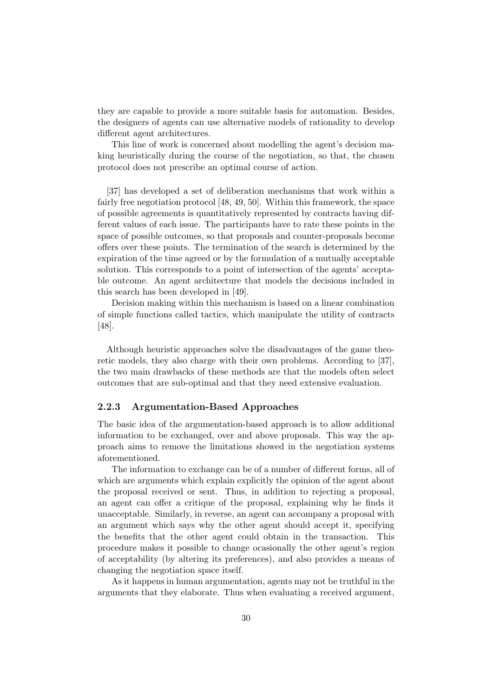they are capable to provide a more suitable basis for automation. Besides, the designers of agents can use alternative models of rationality to develop different agent architectures.

This line of work is concerned about modelling the agent's decision making heuristically during the course of the negotiation, so that, the chosen protocol does not prescribe an optimal course of action.

[37] has developed a set of deliberation mechanisms that work within a fairly free negotiation protocol [48, 49, 50]. Within this framework, the space of possible agreements is quantitatively represented by contracts having different values of each issue. The participants have to rate these points in the space of possible outcomes, so that proposals and counter-proposals become offers over these points. The termination of the search is determined by the expiration of the time agreed or by the formulation of a mutually acceptable solution. This corresponds to a point of intersection of the agents' acceptable outcome. An agent architecture that models the decisions included in this search has been developed in [49].

Decision making within this mechanism is based on a linear combination of simple functions called tactics, which manipulate the utility of contracts [48].

Although heuristic approaches solve the disadvantages of the game theoretic models, they also charge with their own problems. According to [37], the two main drawbacks of these methods are that the models often select outcomes that are sub-optimal and that they need extensive evaluation.

#### 2.2.3 Argumentation-Based Approaches

The basic idea of the argumentation-based approach is to allow additional information to be exchanged, over and above proposals. This way the approach aims to remove the limitations showed in the negotiation systems aforementioned.

The information to exchange can be of a number of different forms, all of which are arguments which explain explicitly the opinion of the agent about the proposal received or sent. Thus, in addition to rejecting a proposal, an agent can offer a critique of the proposal, explaining why he finds it unacceptable. Similarly, in reverse, an agent can accompany a proposal with an argument which says why the other agent should accept it, specifying the benefits that the other agent could obtain in the transaction. This procedure makes it possible to change ocasionally the other agent's region of acceptability (by altering its preferences), and also provides a means of changing the negotiation space itself.

As it happens in human argumentation, agents may not be truthful in the arguments that they elaborate. Thus when evaluating a received argument,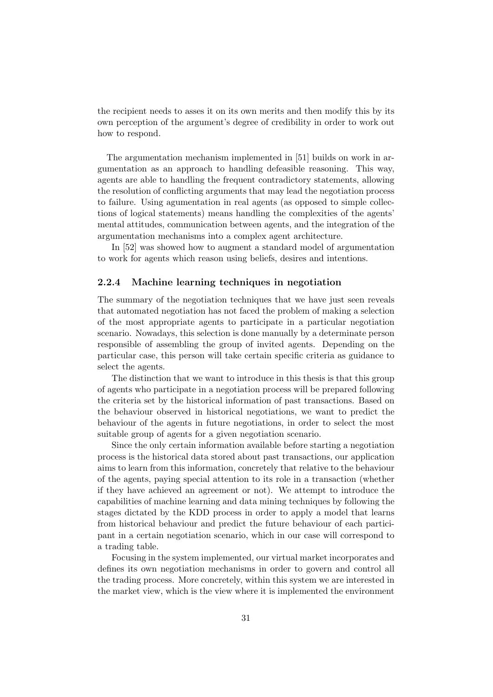the recipient needs to asses it on its own merits and then modify this by its own perception of the argument's degree of credibility in order to work out how to respond.

The argumentation mechanism implemented in [51] builds on work in argumentation as an approach to handling defeasible reasoning. This way, agents are able to handling the frequent contradictory statements, allowing the resolution of conflicting arguments that may lead the negotiation process to failure. Using agumentation in real agents (as opposed to simple collections of logical statements) means handling the complexities of the agents' mental attitudes, communication between agents, and the integration of the argumentation mechanisms into a complex agent architecture.

In [52] was showed how to augment a standard model of argumentation to work for agents which reason using beliefs, desires and intentions.

### 2.2.4 Machine learning techniques in negotiation

The summary of the negotiation techniques that we have just seen reveals that automated negotiation has not faced the problem of making a selection of the most appropriate agents to participate in a particular negotiation scenario. Nowadays, this selection is done manually by a determinate person responsible of assembling the group of invited agents. Depending on the particular case, this person will take certain specific criteria as guidance to select the agents.

The distinction that we want to introduce in this thesis is that this group of agents who participate in a negotiation process will be prepared following the criteria set by the historical information of past transactions. Based on the behaviour observed in historical negotiations, we want to predict the behaviour of the agents in future negotiations, in order to select the most suitable group of agents for a given negotiation scenario.

Since the only certain information available before starting a negotiation process is the historical data stored about past transactions, our application aims to learn from this information, concretely that relative to the behaviour of the agents, paying special attention to its role in a transaction (whether if they have achieved an agreement or not). We attempt to introduce the capabilities of machine learning and data mining techniques by following the stages dictated by the KDD process in order to apply a model that learns from historical behaviour and predict the future behaviour of each participant in a certain negotiation scenario, which in our case will correspond to a trading table.

Focusing in the system implemented, our virtual market incorporates and defines its own negotiation mechanisms in order to govern and control all the trading process. More concretely, within this system we are interested in the market view, which is the view where it is implemented the environment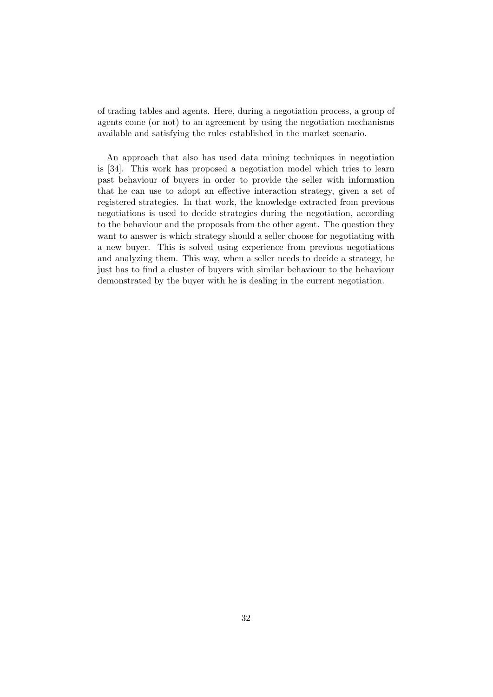of trading tables and agents. Here, during a negotiation process, a group of agents come (or not) to an agreement by using the negotiation mechanisms available and satisfying the rules established in the market scenario.

An approach that also has used data mining techniques in negotiation is [34]. This work has proposed a negotiation model which tries to learn past behaviour of buyers in order to provide the seller with information that he can use to adopt an effective interaction strategy, given a set of registered strategies. In that work, the knowledge extracted from previous negotiations is used to decide strategies during the negotiation, according to the behaviour and the proposals from the other agent. The question they want to answer is which strategy should a seller choose for negotiating with a new buyer. This is solved using experience from previous negotiations and analyzing them. This way, when a seller needs to decide a strategy, he just has to find a cluster of buyers with similar behaviour to the behaviour demonstrated by the buyer with he is dealing in the current negotiation.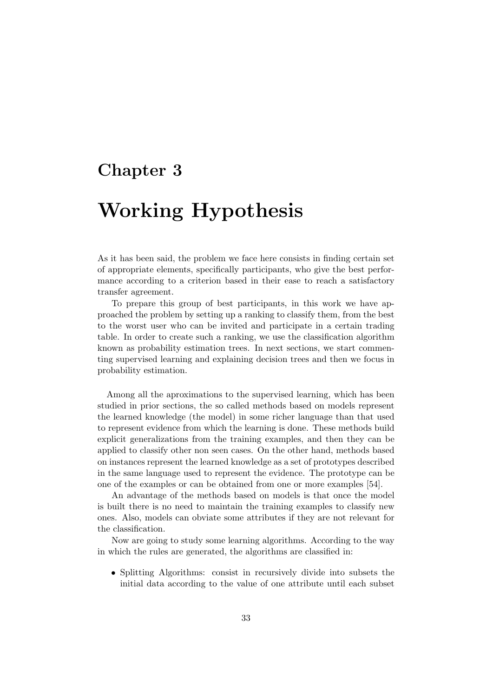### Chapter 3

## Working Hypothesis

As it has been said, the problem we face here consists in finding certain set of appropriate elements, specifically participants, who give the best performance according to a criterion based in their ease to reach a satisfactory transfer agreement.

To prepare this group of best participants, in this work we have approached the problem by setting up a ranking to classify them, from the best to the worst user who can be invited and participate in a certain trading table. In order to create such a ranking, we use the classification algorithm known as probability estimation trees. In next sections, we start commenting supervised learning and explaining decision trees and then we focus in probability estimation.

Among all the aproximations to the supervised learning, which has been studied in prior sections, the so called methods based on models represent the learned knowledge (the model) in some richer language than that used to represent evidence from which the learning is done. These methods build explicit generalizations from the training examples, and then they can be applied to classify other non seen cases. On the other hand, methods based on instances represent the learned knowledge as a set of prototypes described in the same language used to represent the evidence. The prototype can be one of the examples or can be obtained from one or more examples [54].

An advantage of the methods based on models is that once the model is built there is no need to maintain the training examples to classify new ones. Also, models can obviate some attributes if they are not relevant for the classification.

Now are going to study some learning algorithms. According to the way in which the rules are generated, the algorithms are classified in:

• Splitting Algorithms: consist in recursively divide into subsets the initial data according to the value of one attribute until each subset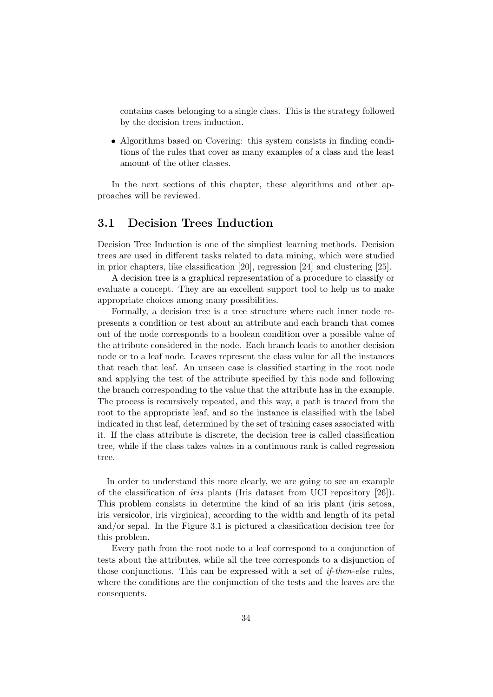contains cases belonging to a single class. This is the strategy followed by the decision trees induction.

• Algorithms based on Covering: this system consists in finding conditions of the rules that cover as many examples of a class and the least amount of the other classes.

In the next sections of this chapter, these algorithms and other approaches will be reviewed.

### 3.1 Decision Trees Induction

Decision Tree Induction is one of the simpliest learning methods. Decision trees are used in different tasks related to data mining, which were studied in prior chapters, like classification [20], regression [24] and clustering [25].

A decision tree is a graphical representation of a procedure to classify or evaluate a concept. They are an excellent support tool to help us to make appropriate choices among many possibilities.

Formally, a decision tree is a tree structure where each inner node represents a condition or test about an attribute and each branch that comes out of the node corresponds to a boolean condition over a possible value of the attribute considered in the node. Each branch leads to another decision node or to a leaf node. Leaves represent the class value for all the instances that reach that leaf. An unseen case is classified starting in the root node and applying the test of the attribute specified by this node and following the branch corresponding to the value that the attribute has in the example. The process is recursively repeated, and this way, a path is traced from the root to the appropriate leaf, and so the instance is classified with the label indicated in that leaf, determined by the set of training cases associated with it. If the class attribute is discrete, the decision tree is called classification tree, while if the class takes values in a continuous rank is called regression tree.

In order to understand this more clearly, we are going to see an example of the classification of iris plants (Iris dataset from UCI repository [26]). This problem consists in determine the kind of an iris plant (iris setosa, iris versicolor, iris virginica), according to the width and length of its petal and/or sepal. In the Figure 3.1 is pictured a classification decision tree for this problem.

Every path from the root node to a leaf correspond to a conjunction of tests about the attributes, while all the tree corresponds to a disjunction of those conjunctions. This can be expressed with a set of *if-then-else* rules, where the conditions are the conjunction of the tests and the leaves are the consequents.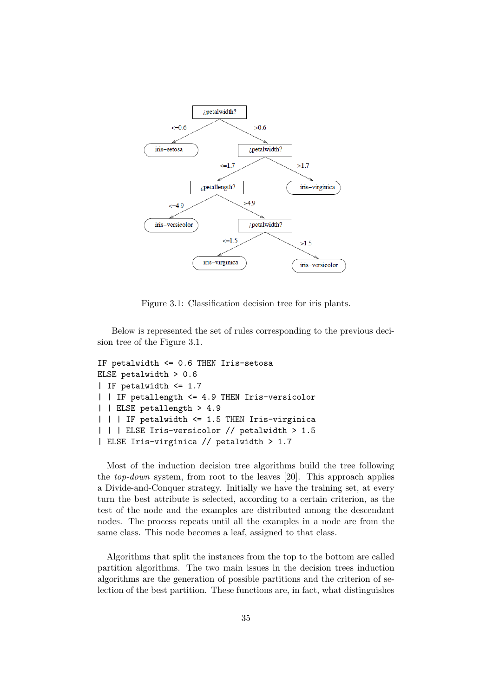

Figure 3.1: Classification decision tree for iris plants.

Below is represented the set of rules corresponding to the previous decision tree of the Figure 3.1.

```
IF petalwidth <= 0.6 THEN Iris-setosa
ELSE petalwidth > 0.6
| IF petalwidth <= 1.7
| | IF petallength <= 4.9 THEN Iris-versicolor
| | ELSE petallength > 4.9
| | | IF petalwidth <= 1.5 THEN Iris-virginica
| | | ELSE Iris-versicolor // petalwidth > 1.5
| ELSE Iris-virginica // petalwidth > 1.7
```
Most of the induction decision tree algorithms build the tree following the top-down system, from root to the leaves [20]. This approach applies a Divide-and-Conquer strategy. Initially we have the training set, at every turn the best attribute is selected, according to a certain criterion, as the test of the node and the examples are distributed among the descendant nodes. The process repeats until all the examples in a node are from the same class. This node becomes a leaf, assigned to that class.

Algorithms that split the instances from the top to the bottom are called partition algorithms. The two main issues in the decision trees induction algorithms are the generation of possible partitions and the criterion of selection of the best partition. These functions are, in fact, what distinguishes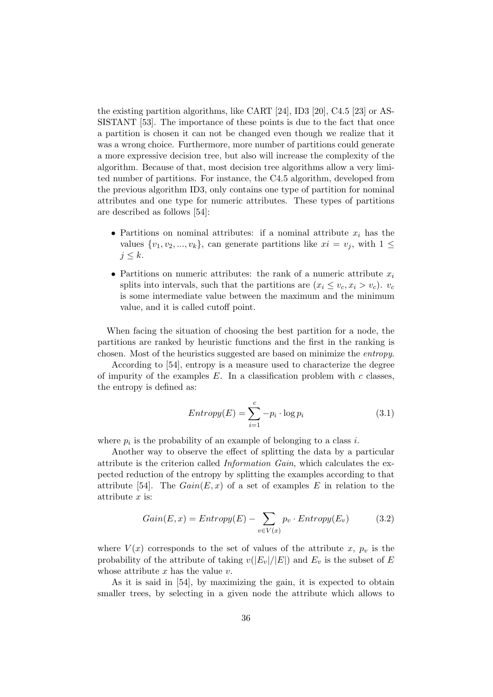the existing partition algorithms, like CART [24], ID3 [20], C4.5 [23] or AS-SISTANT [53]. The importance of these points is due to the fact that once a partition is chosen it can not be changed even though we realize that it was a wrong choice. Furthermore, more number of partitions could generate a more expressive decision tree, but also will increase the complexity of the algorithm. Because of that, most decision tree algorithms allow a very limited number of partitions. For instance, the C4.5 algorithm, developed from the previous algorithm ID3, only contains one type of partition for nominal attributes and one type for numeric attributes. These types of partitions are described as follows [54]:

- Partitions on nominal attributes: if a nominal attribute  $x_i$  has the values  $\{v_1, v_2, ..., v_k\}$ , can generate partitions like  $xi = v_j$ , with  $1 \leq$  $j \leq k$ .
- Partitions on numeric attributes: the rank of a numeric attribute  $x_i$ splits into intervals, such that the partitions are  $(x_i \le v_c, x_i > v_c)$ .  $v_c$ is some intermediate value between the maximum and the minimum value, and it is called cutoff point.

When facing the situation of choosing the best partition for a node, the partitions are ranked by heuristic functions and the first in the ranking is chosen. Most of the heuristics suggested are based on minimize the entropy.

According to [54], entropy is a measure used to characterize the degree of impurity of the examples  $E$ . In a classification problem with  $c$  classes, the entropy is defined as:

$$
Entropy(E) = \sum_{i=1}^{c} -p_i \cdot \log p_i \tag{3.1}
$$

where  $p_i$  is the probability of an example of belonging to a class i.

Another way to observe the effect of splitting the data by a particular attribute is the criterion called Information Gain, which calculates the expected reduction of the entropy by splitting the examples according to that attribute [54]. The  $Gain(E, x)$  of a set of examples E in relation to the attribute  $x$  is:

$$
Gain(E, x) = Entropy(E) - \sum_{v \in V(x)} p_v \cdot Entropy(E_v)
$$
 (3.2)

where  $V(x)$  corresponds to the set of values of the attribute x,  $p_v$  is the probability of the attribute of taking  $v(|E_v|/|E|)$  and  $E_v$  is the subset of E whose attribute  $x$  has the value  $v$ .

As it is said in [54], by maximizing the gain, it is expected to obtain smaller trees, by selecting in a given node the attribute which allows to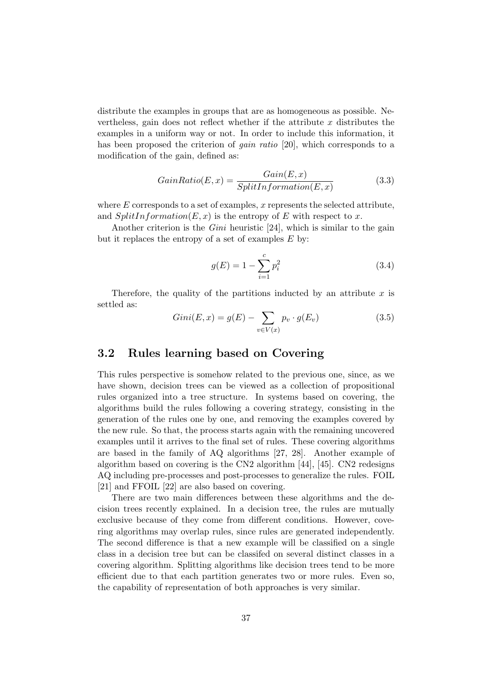distribute the examples in groups that are as homogeneous as possible. Nevertheless, gain does not reflect whether if the attribute  $x$  distributes the examples in a uniform way or not. In order to include this information, it has been proposed the criterion of *gain ratio* [20], which corresponds to a modification of the gain, defined as:

$$
GainRatio(E, x) = \frac{Gain(E, x)}{SplitInformation(E, x)}
$$
\n(3.3)

where  $E$  corresponds to a set of examples, x represents the selected attribute, and  $SplitInformation(E, x)$  is the entropy of E with respect to x.

Another criterion is the *Gini* heuristic [24], which is similar to the gain but it replaces the entropy of a set of examples  $E$  by:

$$
g(E) = 1 - \sum_{i=1}^{c} p_i^2
$$
 (3.4)

Therefore, the quality of the partitions inducted by an attribute  $x$  is settled as:

$$
Gini(E, x) = g(E) - \sum_{v \in V(x)} p_v \cdot g(E_v)
$$
\n(3.5)

#### 3.2 Rules learning based on Covering

This rules perspective is somehow related to the previous one, since, as we have shown, decision trees can be viewed as a collection of propositional rules organized into a tree structure. In systems based on covering, the algorithms build the rules following a covering strategy, consisting in the generation of the rules one by one, and removing the examples covered by the new rule. So that, the process starts again with the remaining uncovered examples until it arrives to the final set of rules. These covering algorithms are based in the family of AQ algorithms [27, 28]. Another example of algorithm based on covering is the CN2 algorithm [44], [45]. CN2 redesigns AQ including pre-processes and post-processes to generalize the rules. FOIL [21] and FFOIL [22] are also based on covering.

There are two main differences between these algorithms and the decision trees recently explained. In a decision tree, the rules are mutually exclusive because of they come from different conditions. However, covering algorithms may overlap rules, since rules are generated independently. The second difference is that a new example will be classified on a single class in a decision tree but can be classifed on several distinct classes in a covering algorithm. Splitting algorithms like decision trees tend to be more efficient due to that each partition generates two or more rules. Even so, the capability of representation of both approaches is very similar.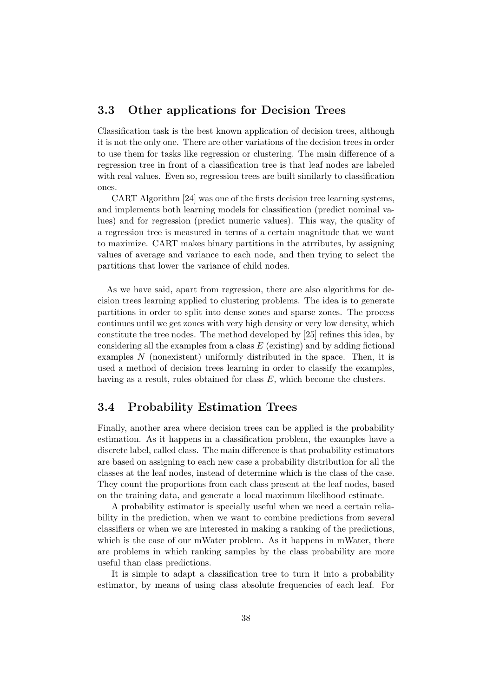#### 3.3 Other applications for Decision Trees

Classification task is the best known application of decision trees, although it is not the only one. There are other variations of the decision trees in order to use them for tasks like regression or clustering. The main difference of a regression tree in front of a classification tree is that leaf nodes are labeled with real values. Even so, regression trees are built similarly to classification ones.

CART Algorithm [24] was one of the firsts decision tree learning systems, and implements both learning models for classification (predict nominal values) and for regression (predict numeric values). This way, the quality of a regression tree is measured in terms of a certain magnitude that we want to maximize. CART makes binary partitions in the atrributes, by assigning values of average and variance to each node, and then trying to select the partitions that lower the variance of child nodes.

As we have said, apart from regression, there are also algorithms for decision trees learning applied to clustering problems. The idea is to generate partitions in order to split into dense zones and sparse zones. The process continues until we get zones with very high density or very low density, which constitute the tree nodes. The method developed by [25] refines this idea, by considering all the examples from a class  $E$  (existing) and by adding fictional examples N (nonexistent) uniformly distributed in the space. Then, it is used a method of decision trees learning in order to classify the examples, having as a result, rules obtained for class E, which become the clusters.

### 3.4 Probability Estimation Trees

Finally, another area where decision trees can be applied is the probability estimation. As it happens in a classification problem, the examples have a discrete label, called class. The main difference is that probability estimators are based on assigning to each new case a probability distribution for all the classes at the leaf nodes, instead of determine which is the class of the case. They count the proportions from each class present at the leaf nodes, based on the training data, and generate a local maximum likelihood estimate.

A probability estimator is specially useful when we need a certain reliability in the prediction, when we want to combine predictions from several classifiers or when we are interested in making a ranking of the predictions, which is the case of our mWater problem. As it happens in mWater, there are problems in which ranking samples by the class probability are more useful than class predictions.

It is simple to adapt a classification tree to turn it into a probability estimator, by means of using class absolute frequencies of each leaf. For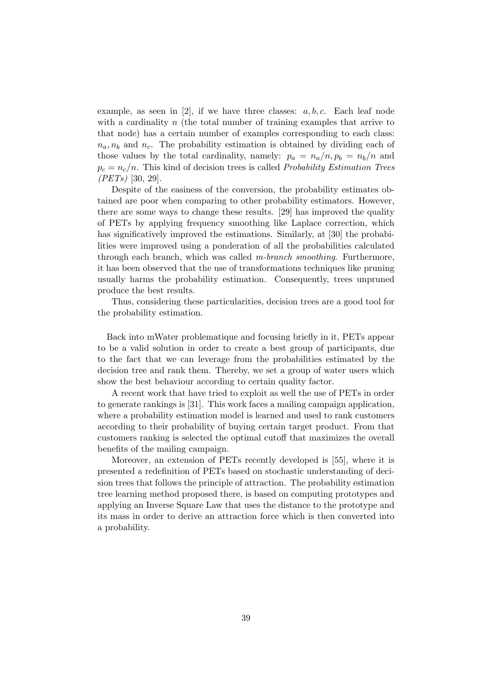example, as seen in [2], if we have three classes:  $a, b, c$ . Each leaf node with a cardinality  $n$  (the total number of training examples that arrive to that node) has a certain number of examples corresponding to each class:  $n_a, n_b$  and  $n_c$ . The probability estimation is obtained by dividing each of those values by the total cardinality, namely:  $p_a = n_a/n, p_b = n_b/n$  and  $p_c = n_c/n$ . This kind of decision trees is called *Probability Estimation Trees*  $(PETs)$  [30, 29].

Despite of the easiness of the conversion, the probability estimates obtained are poor when comparing to other probability estimators. However, there are some ways to change these results. [29] has improved the quality of PETs by applying frequency smoothing like Laplace correction, which has significatively improved the estimations. Similarly, at [30] the probabilities were improved using a ponderation of all the probabilities calculated through each branch, which was called m-branch smoothing. Furthermore, it has been observed that the use of transformations techniques like pruning usually harms the probability estimation. Consequently, trees unpruned produce the best results.

Thus, considering these particularities, decision trees are a good tool for the probability estimation.

Back into mWater problematique and focusing briefly in it, PETs appear to be a valid solution in order to create a best group of participants, due to the fact that we can leverage from the probabilities estimated by the decision tree and rank them. Thereby, we set a group of water users which show the best behaviour according to certain quality factor.

A recent work that have tried to exploit as well the use of PETs in order to generate rankings is [31]. This work faces a mailing campaign application, where a probability estimation model is learned and used to rank customers according to their probability of buying certain target product. From that customers ranking is selected the optimal cutoff that maximizes the overall benefits of the mailing campaign.

Moreover, an extension of PETs recently developed is [55], where it is presented a redefinition of PETs based on stochastic understanding of decision trees that follows the principle of attraction. The probability estimation tree learning method proposed there, is based on computing prototypes and applying an Inverse Square Law that uses the distance to the prototype and its mass in order to derive an attraction force which is then converted into a probability.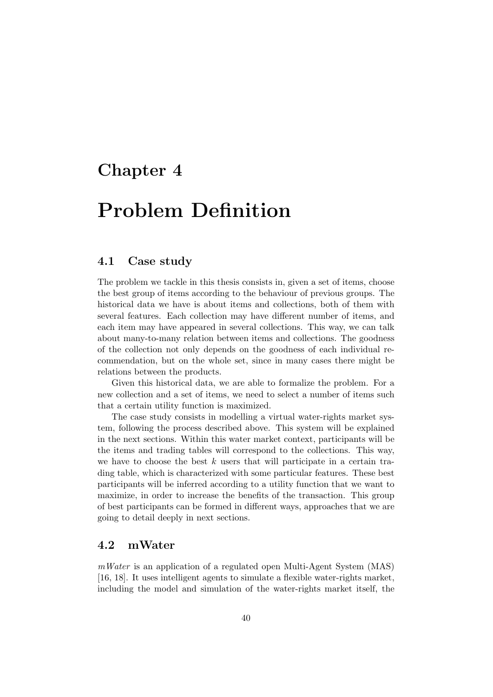### Chapter 4

# Problem Definition

#### 4.1 Case study

The problem we tackle in this thesis consists in, given a set of items, choose the best group of items according to the behaviour of previous groups. The historical data we have is about items and collections, both of them with several features. Each collection may have different number of items, and each item may have appeared in several collections. This way, we can talk about many-to-many relation between items and collections. The goodness of the collection not only depends on the goodness of each individual recommendation, but on the whole set, since in many cases there might be relations between the products.

Given this historical data, we are able to formalize the problem. For a new collection and a set of items, we need to select a number of items such that a certain utility function is maximized.

The case study consists in modelling a virtual water-rights market system, following the process described above. This system will be explained in the next sections. Within this water market context, participants will be the items and trading tables will correspond to the collections. This way, we have to choose the best k users that will participate in a certain trading table, which is characterized with some particular features. These best participants will be inferred according to a utility function that we want to maximize, in order to increase the benefits of the transaction. This group of best participants can be formed in different ways, approaches that we are going to detail deeply in next sections.

#### 4.2 mWater

 $mWater$  is an application of a regulated open Multi-Agent System (MAS) [16, 18]. It uses intelligent agents to simulate a flexible water-rights market, including the model and simulation of the water-rights market itself, the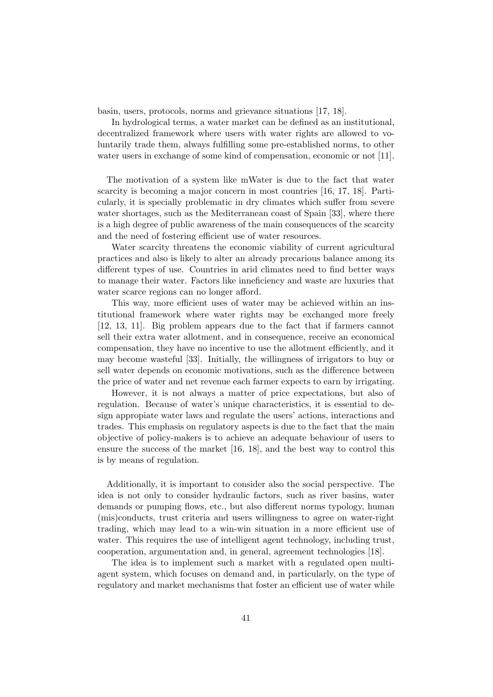basin, users, protocols, norms and grievance situations [17, 18].

In hydrological terms, a water market can be defined as an institutional, decentralized framework where users with water rights are allowed to voluntarily trade them, always fulfilling some pre-established norms, to other water users in exchange of some kind of compensation, economic or not [11].

The motivation of a system like mWater is due to the fact that water scarcity is becoming a major concern in most countries [16, 17, 18]. Particularly, it is specially problematic in dry climates which suffer from severe water shortages, such as the Mediterranean coast of Spain [33], where there is a high degree of public awareness of the main consequences of the scarcity and the need of fostering efficient use of water resources.

Water scarcity threatens the economic viability of current agricultural practices and also is likely to alter an already precarious balance among its different types of use. Countries in arid climates need to find better ways to manage their water. Factors like inneficiency and waste are luxuries that water scarce regions can no longer afford.

This way, more efficient uses of water may be achieved within an institutional framework where water rights may be exchanged more freely [12, 13, 11]. Big problem appears due to the fact that if farmers cannot sell their extra water allotment, and in consequence, receive an economical compensation, they have no incentive to use the allotment efficiently, and it may become wasteful [33]. Initially, the willingness of irrigators to buy or sell water depends on economic motivations, such as the difference between the price of water and net revenue each farmer expects to earn by irrigating.

However, it is not always a matter of price expectations, but also of regulation. Because of water's unique characteristics, it is essential to design appropiate water laws and regulate the users' actions, interactions and trades. This emphasis on regulatory aspects is due to the fact that the main objective of policy-makers is to achieve an adequate behaviour of users to ensure the success of the market [16, 18], and the best way to control this is by means of regulation.

Additionally, it is important to consider also the social perspective. The idea is not only to consider hydraulic factors, such as river basins, water demands or pumping flows, etc., but also different norms typology, human (mis)conducts, trust criteria and users willingness to agree on water-right trading, which may lead to a win-win situation in a more efficient use of water. This requires the use of intelligent agent technology, including trust, cooperation, argumentation and, in general, agreement technologies [18].

The idea is to implement such a market with a regulated open multiagent system, which focuses on demand and, in particularly, on the type of regulatory and market mechanisms that foster an efficient use of water while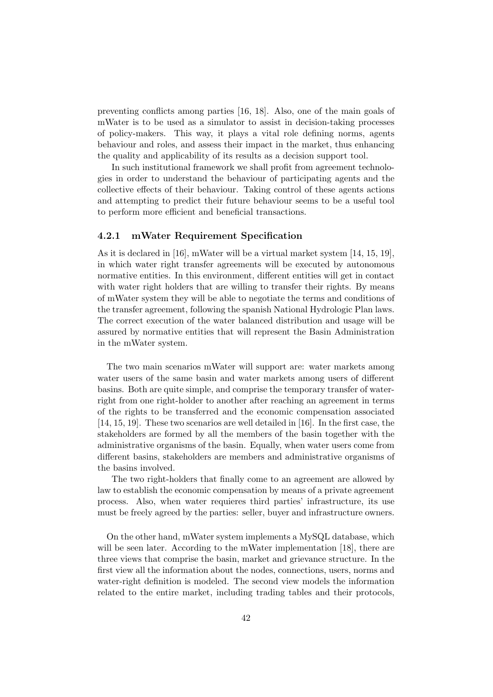preventing conflicts among parties [16, 18]. Also, one of the main goals of mWater is to be used as a simulator to assist in decision-taking processes of policy-makers. This way, it plays a vital role defining norms, agents behaviour and roles, and assess their impact in the market, thus enhancing the quality and applicability of its results as a decision support tool.

In such institutional framework we shall profit from agreement technologies in order to understand the behaviour of participating agents and the collective effects of their behaviour. Taking control of these agents actions and attempting to predict their future behaviour seems to be a useful tool to perform more efficient and beneficial transactions.

#### 4.2.1 mWater Requirement Specification

As it is declared in [16], mWater will be a virtual market system [14, 15, 19], in which water right transfer agreements will be executed by autonomous normative entities. In this environment, different entities will get in contact with water right holders that are willing to transfer their rights. By means of mWater system they will be able to negotiate the terms and conditions of the transfer agreement, following the spanish National Hydrologic Plan laws. The correct execution of the water balanced distribution and usage will be assured by normative entities that will represent the Basin Administration in the mWater system.

The two main scenarios mWater will support are: water markets among water users of the same basin and water markets among users of different basins. Both are quite simple, and comprise the temporary transfer of waterright from one right-holder to another after reaching an agreement in terms of the rights to be transferred and the economic compensation associated [14, 15, 19]. These two scenarios are well detailed in [16]. In the first case, the stakeholders are formed by all the members of the basin together with the administrative organisms of the basin. Equally, when water users come from different basins, stakeholders are members and administrative organisms of the basins involved.

The two right-holders that finally come to an agreement are allowed by law to establish the economic compensation by means of a private agreement process. Also, when water requieres third parties' infrastructure, its use must be freely agreed by the parties: seller, buyer and infrastructure owners.

On the other hand, mWater system implements a MySQL database, which will be seen later. According to the mWater implementation [18], there are three views that comprise the basin, market and grievance structure. In the first view all the information about the nodes, connections, users, norms and water-right definition is modeled. The second view models the information related to the entire market, including trading tables and their protocols,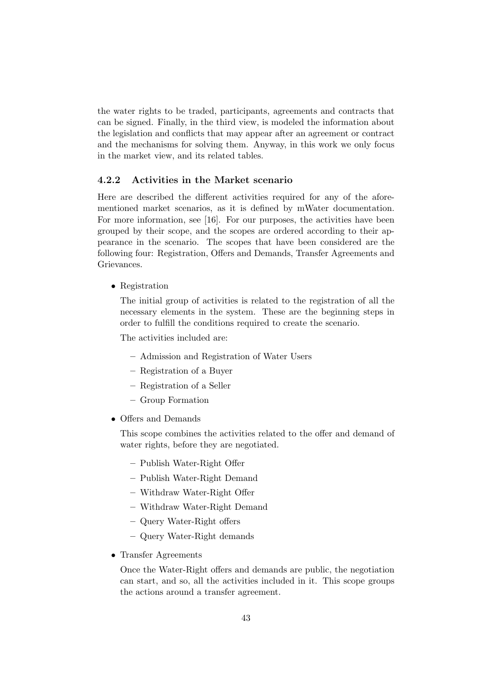the water rights to be traded, participants, agreements and contracts that can be signed. Finally, in the third view, is modeled the information about the legislation and conflicts that may appear after an agreement or contract and the mechanisms for solving them. Anyway, in this work we only focus in the market view, and its related tables.

#### 4.2.2 Activities in the Market scenario

Here are described the different activities required for any of the aforementioned market scenarios, as it is defined by mWater documentation. For more information, see [16]. For our purposes, the activities have been grouped by their scope, and the scopes are ordered according to their appearance in the scenario. The scopes that have been considered are the following four: Registration, Offers and Demands, Transfer Agreements and Grievances.

#### • Registration

The initial group of activities is related to the registration of all the necessary elements in the system. These are the beginning steps in order to fulfill the conditions required to create the scenario.

The activities included are:

- Admission and Registration of Water Users
- Registration of a Buyer
- Registration of a Seller
- Group Formation
- Offers and Demands

This scope combines the activities related to the offer and demand of water rights, before they are negotiated.

- Publish Water-Right Offer
- Publish Water-Right Demand
- Withdraw Water-Right Offer
- Withdraw Water-Right Demand
- Query Water-Right offers
- Query Water-Right demands
- Transfer Agreements

Once the Water-Right offers and demands are public, the negotiation can start, and so, all the activities included in it. This scope groups the actions around a transfer agreement.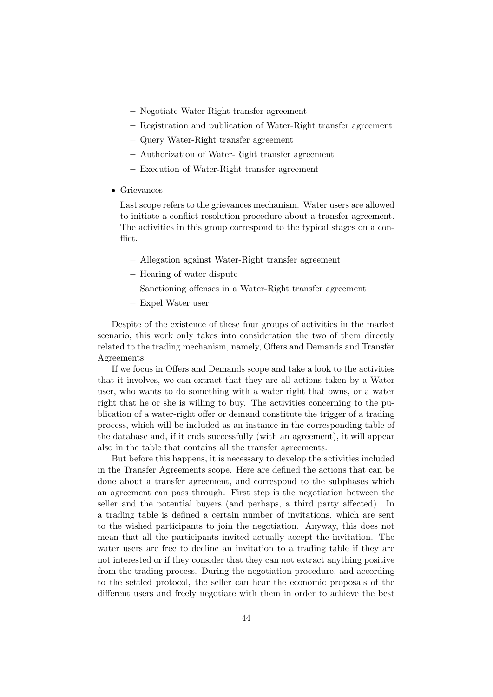- Negotiate Water-Right transfer agreement
- Registration and publication of Water-Right transfer agreement
- Query Water-Right transfer agreement
- Authorization of Water-Right transfer agreement
- Execution of Water-Right transfer agreement
- Grievances

Last scope refers to the grievances mechanism. Water users are allowed to initiate a conflict resolution procedure about a transfer agreement. The activities in this group correspond to the typical stages on a conflict.

- Allegation against Water-Right transfer agreement
- Hearing of water dispute
- Sanctioning offenses in a Water-Right transfer agreement
- Expel Water user

Despite of the existence of these four groups of activities in the market scenario, this work only takes into consideration the two of them directly related to the trading mechanism, namely, Offers and Demands and Transfer Agreements.

If we focus in Offers and Demands scope and take a look to the activities that it involves, we can extract that they are all actions taken by a Water user, who wants to do something with a water right that owns, or a water right that he or she is willing to buy. The activities concerning to the publication of a water-right offer or demand constitute the trigger of a trading process, which will be included as an instance in the corresponding table of the database and, if it ends successfully (with an agreement), it will appear also in the table that contains all the transfer agreements.

But before this happens, it is necessary to develop the activities included in the Transfer Agreements scope. Here are defined the actions that can be done about a transfer agreement, and correspond to the subphases which an agreement can pass through. First step is the negotiation between the seller and the potential buyers (and perhaps, a third party affected). In a trading table is defined a certain number of invitations, which are sent to the wished participants to join the negotiation. Anyway, this does not mean that all the participants invited actually accept the invitation. The water users are free to decline an invitation to a trading table if they are not interested or if they consider that they can not extract anything positive from the trading process. During the negotiation procedure, and according to the settled protocol, the seller can hear the economic proposals of the different users and freely negotiate with them in order to achieve the best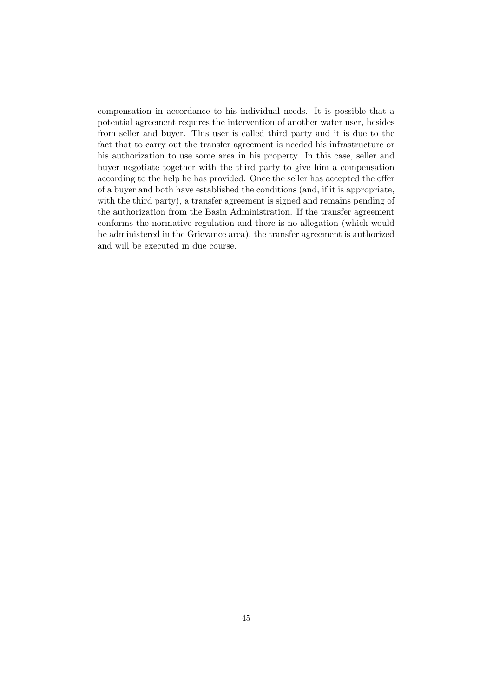compensation in accordance to his individual needs. It is possible that a potential agreement requires the intervention of another water user, besides from seller and buyer. This user is called third party and it is due to the fact that to carry out the transfer agreement is needed his infrastructure or his authorization to use some area in his property. In this case, seller and buyer negotiate together with the third party to give him a compensation according to the help he has provided. Once the seller has accepted the offer of a buyer and both have established the conditions (and, if it is appropriate, with the third party), a transfer agreement is signed and remains pending of the authorization from the Basin Administration. If the transfer agreement conforms the normative regulation and there is no allegation (which would be administered in the Grievance area), the transfer agreement is authorized and will be executed in due course.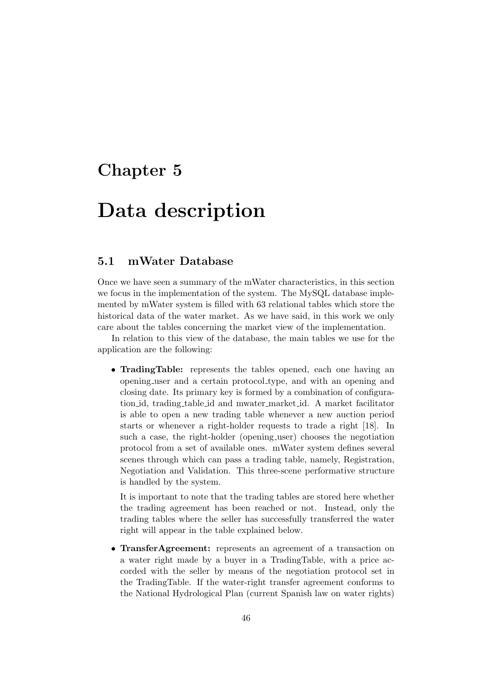### Chapter 5

## Data description

#### 5.1 mWater Database

Once we have seen a summary of the mWater characteristics, in this section we focus in the implementation of the system. The MySQL database implemented by mWater system is filled with 63 relational tables which store the historical data of the water market. As we have said, in this work we only care about the tables concerning the market view of the implementation.

In relation to this view of the database, the main tables we use for the application are the following:

• TradingTable: represents the tables opened, each one having an opening user and a certain protocol type, and with an opening and closing date. Its primary key is formed by a combination of configuration id, trading table id and mwater market id. A market facilitator is able to open a new trading table whenever a new auction period starts or whenever a right-holder requests to trade a right [18]. In such a case, the right-holder (opening user) chooses the negotiation protocol from a set of available ones. mWater system defines several scenes through which can pass a trading table, namely, Registration, Negotiation and Validation. This three-scene performative structure is handled by the system.

It is important to note that the trading tables are stored here whether the trading agreement has been reached or not. Instead, only the trading tables where the seller has successfully transferred the water right will appear in the table explained below.

• TransferAgreement: represents an agreement of a transaction on a water right made by a buyer in a TradingTable, with a price accorded with the seller by means of the negotiation protocol set in the TradingTable. If the water-right transfer agreement conforms to the National Hydrological Plan (current Spanish law on water rights)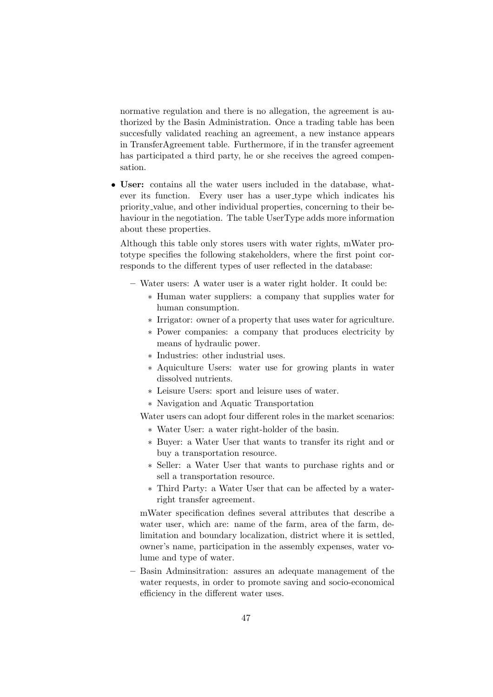normative regulation and there is no allegation, the agreement is authorized by the Basin Administration. Once a trading table has been succesfully validated reaching an agreement, a new instance appears in TransferAgreement table. Furthermore, if in the transfer agreement has participated a third party, he or she receives the agreed compensation.

• User: contains all the water users included in the database, whatever its function. Every user has a user type which indicates his priority value, and other individual properties, concerning to their behaviour in the negotiation. The table UserType adds more information about these properties.

Although this table only stores users with water rights, mWater prototype specifies the following stakeholders, where the first point corresponds to the different types of user reflected in the database:

- Water users: A water user is a water right holder. It could be:
	- ∗ Human water suppliers: a company that supplies water for human consumption.
	- ∗ Irrigator: owner of a property that uses water for agriculture.
	- ∗ Power companies: a company that produces electricity by means of hydraulic power.
	- ∗ Industries: other industrial uses.
	- ∗ Aquiculture Users: water use for growing plants in water dissolved nutrients.
	- ∗ Leisure Users: sport and leisure uses of water.
	- ∗ Navigation and Aquatic Transportation

Water users can adopt four different roles in the market scenarios:

- ∗ Water User: a water right-holder of the basin.
- ∗ Buyer: a Water User that wants to transfer its right and or buy a transportation resource.
- ∗ Seller: a Water User that wants to purchase rights and or sell a transportation resource.
- ∗ Third Party: a Water User that can be affected by a waterright transfer agreement.

mWater specification defines several attributes that describe a water user, which are: name of the farm, area of the farm, delimitation and boundary localization, district where it is settled, owner's name, participation in the assembly expenses, water volume and type of water.

– Basin Adminsitration: assures an adequate management of the water requests, in order to promote saving and socio-economical efficiency in the different water uses.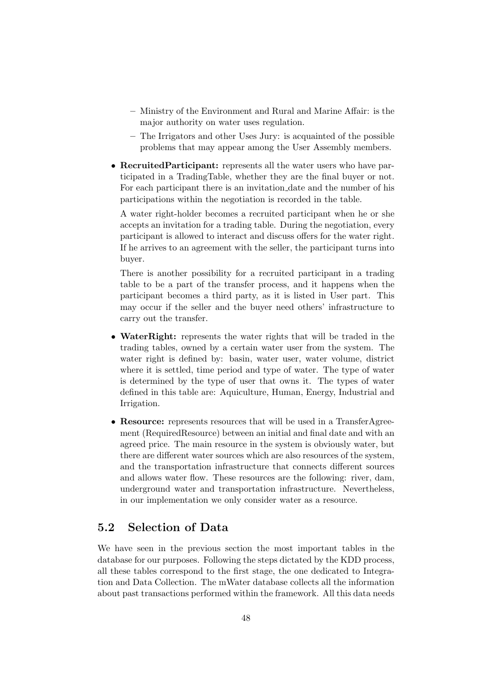- Ministry of the Environment and Rural and Marine Affair: is the major authority on water uses regulation.
- The Irrigators and other Uses Jury: is acquainted of the possible problems that may appear among the User Assembly members.
- RecruitedParticipant: represents all the water users who have participated in a TradingTable, whether they are the final buyer or not. For each participant there is an invitation date and the number of his participations within the negotiation is recorded in the table.

A water right-holder becomes a recruited participant when he or she accepts an invitation for a trading table. During the negotiation, every participant is allowed to interact and discuss offers for the water right. If he arrives to an agreement with the seller, the participant turns into buyer.

There is another possibility for a recruited participant in a trading table to be a part of the transfer process, and it happens when the participant becomes a third party, as it is listed in User part. This may occur if the seller and the buyer need others' infrastructure to carry out the transfer.

- WaterRight: represents the water rights that will be traded in the trading tables, owned by a certain water user from the system. The water right is defined by: basin, water user, water volume, district where it is settled, time period and type of water. The type of water is determined by the type of user that owns it. The types of water defined in this table are: Aquiculture, Human, Energy, Industrial and Irrigation.
- Resource: represents resources that will be used in a TransferAgreement (RequiredResource) between an initial and final date and with an agreed price. The main resource in the system is obviously water, but there are different water sources which are also resources of the system, and the transportation infrastructure that connects different sources and allows water flow. These resources are the following: river, dam, underground water and transportation infrastructure. Nevertheless, in our implementation we only consider water as a resource.

### 5.2 Selection of Data

We have seen in the previous section the most important tables in the database for our purposes. Following the steps dictated by the KDD process, all these tables correspond to the first stage, the one dedicated to Integration and Data Collection. The mWater database collects all the information about past transactions performed within the framework. All this data needs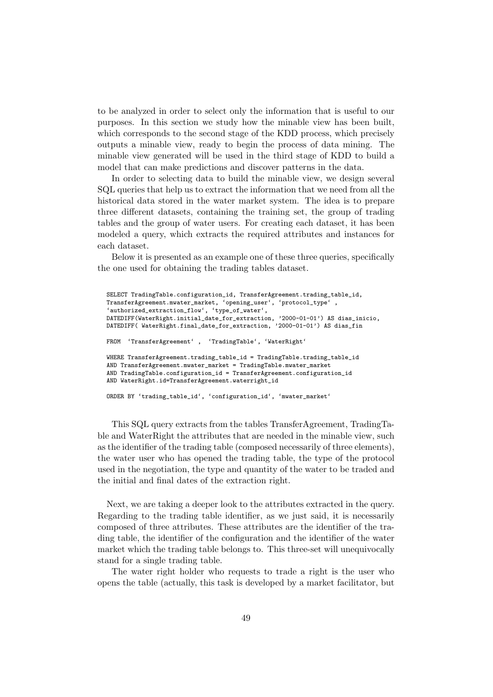to be analyzed in order to select only the information that is useful to our purposes. In this section we study how the minable view has been built, which corresponds to the second stage of the KDD process, which precisely outputs a minable view, ready to begin the process of data mining. The minable view generated will be used in the third stage of KDD to build a model that can make predictions and discover patterns in the data.

In order to selecting data to build the minable view, we design several SQL queries that help us to extract the information that we need from all the historical data stored in the water market system. The idea is to prepare three different datasets, containing the training set, the group of trading tables and the group of water users. For creating each dataset, it has been modeled a query, which extracts the required attributes and instances for each dataset.

Below it is presented as an example one of these three queries, specifically the one used for obtaining the trading tables dataset.

```
SELECT TradingTable.configuration_id, TransferAgreement.trading_table_id,
TransferAgreement.mwater_market, 'opening_user', 'protocol_type' ,
'authorized_extraction_flow', 'type_of_water',
DATEDIFF(WaterRight.initial_date_for_extraction, '2000-01-01') AS dias_inicio,
DATEDIFF( WaterRight.final date for extraction, '2000-01-01') AS dias fin
FROM 'TransferAgreement' , 'TradingTable', 'WaterRight'
WHERE TransferAgreement.trading_table_id = TradingTable.trading_table_id
AND TransferAgreement.mwater_market = TradingTable.mwater_market
AND TradingTable.configuration_id = TransferAgreement.configuration_id
AND WaterRight.id=TransferAgreement.waterright_id
ORDER BY 'trading_table_id', 'configuration_id', 'mwater_market'
```
This SQL query extracts from the tables TransferAgreement, TradingTable and WaterRight the attributes that are needed in the minable view, such as the identifier of the trading table (composed necessarily of three elements), the water user who has opened the trading table, the type of the protocol used in the negotiation, the type and quantity of the water to be traded and the initial and final dates of the extraction right.

Next, we are taking a deeper look to the attributes extracted in the query. Regarding to the trading table identifier, as we just said, it is necessarily composed of three attributes. These attributes are the identifier of the trading table, the identifier of the configuration and the identifier of the water market which the trading table belongs to. This three-set will unequivocally stand for a single trading table.

The water right holder who requests to trade a right is the user who opens the table (actually, this task is developed by a market facilitator, but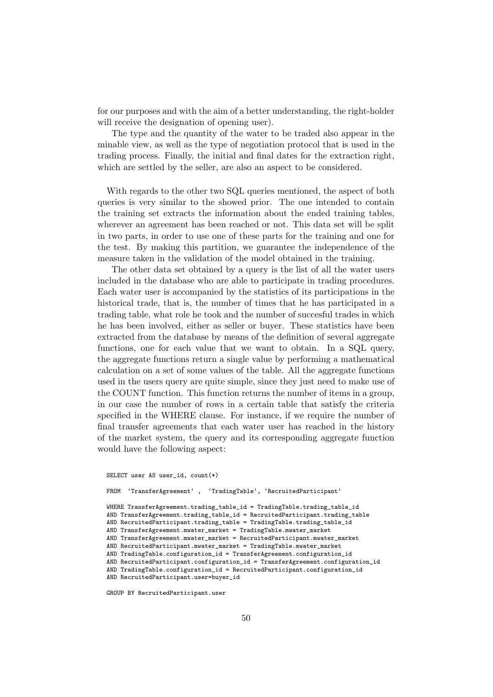for our purposes and with the aim of a better understanding, the right-holder will receive the designation of opening user).

The type and the quantity of the water to be traded also appear in the minable view, as well as the type of negotiation protocol that is used in the trading process. Finally, the initial and final dates for the extraction right, which are settled by the seller, are also an aspect to be considered.

With regards to the other two SQL queries mentioned, the aspect of both queries is very similar to the showed prior. The one intended to contain the training set extracts the information about the ended training tables, wherever an agreement has been reached or not. This data set will be split in two parts, in order to use one of these parts for the training and one for the test. By making this partition, we guarantee the independence of the measure taken in the validation of the model obtained in the training.

The other data set obtained by a query is the list of all the water users included in the database who are able to participate in trading procedures. Each water user is accompanied by the statistics of its participations in the historical trade, that is, the number of times that he has participated in a trading table, what role he took and the number of succesful trades in which he has been involved, either as seller or buyer. These statistics have been extracted from the database by means of the definition of several aggregate functions, one for each value that we want to obtain. In a SQL query, the aggregate functions return a single value by performing a mathematical calculation on a set of some values of the table. All the aggregate functions used in the users query are quite simple, since they just need to make use of the COUNT function. This function returns the number of items in a group, in our case the number of rows in a certain table that satisfy the criteria specified in the WHERE clause. For instance, if we require the number of final transfer agreements that each water user has reached in the history of the market system, the query and its corresponding aggregate function would have the following aspect:

```
SELECT user AS user_id, count(*)
FROM 'TransferAgreement' , 'TradingTable', 'RecruitedParticipant'
WHERE TransferAgreement.trading_table_id = TradingTable.trading_table_id
AND TransferAgreement.trading_table_id = RecruitedParticipant.trading_table
AND RecruitedParticipant.trading_table = TradingTable.trading_table_id
AND TransferAgreement.mwater_market = TradingTable.mwater_market
AND TransferAgreement.mwater_market = RecruitedParticipant.mwater_market
AND RecruitedParticipant.mwater_market = TradingTable.mwater_market
AND TradingTable.configuration_id = TransferAgreement.configuration_id
AND RecruitedParticipant.configuration_id = TransferAgreement.configuration_id
AND TradingTable.configuration_id = RecruitedParticipant.configuration_id
AND RecruitedParticipant.user=buyer_id
```
GROUP BY RecruitedParticipant.user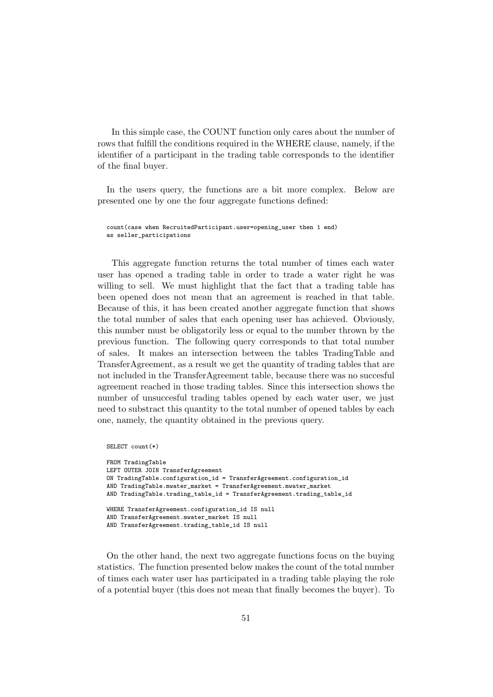In this simple case, the COUNT function only cares about the number of rows that fulfill the conditions required in the WHERE clause, namely, if the identifier of a participant in the trading table corresponds to the identifier of the final buyer.

In the users query, the functions are a bit more complex. Below are presented one by one the four aggregate functions defined:

count(case when RecruitedParticipant.user=opening\_user then 1 end) as seller participations

This aggregate function returns the total number of times each water user has opened a trading table in order to trade a water right he was willing to sell. We must highlight that the fact that a trading table has been opened does not mean that an agreement is reached in that table. Because of this, it has been created another aggregate function that shows the total number of sales that each opening user has achieved. Obviously, this number must be obligatorily less or equal to the number thrown by the previous function. The following query corresponds to that total number of sales. It makes an intersection between the tables TradingTable and TransferAgreement, as a result we get the quantity of trading tables that are not included in the TransferAgreement table, because there was no succesful agreement reached in those trading tables. Since this intersection shows the number of unsuccesful trading tables opened by each water user, we just need to substract this quantity to the total number of opened tables by each one, namely, the quantity obtained in the previous query.

```
SELECT count(*)
```

```
FROM TradingTable
LEFT OUTER JOIN TransferAgreement
ON TradingTable.configuration_id = TransferAgreement.configuration_id
AND TradingTable.mwater_market = TransferAgreement.mwater_market
AND TradingTable.trading_table_id = TransferAgreement.trading_table_id
WHERE TransferAgreement.configuration id IS null
AND TransferAgreement.mwater_market IS null
AND TransferAgreement.trading_table_id IS null
```
On the other hand, the next two aggregate functions focus on the buying statistics. The function presented below makes the count of the total number of times each water user has participated in a trading table playing the role of a potential buyer (this does not mean that finally becomes the buyer). To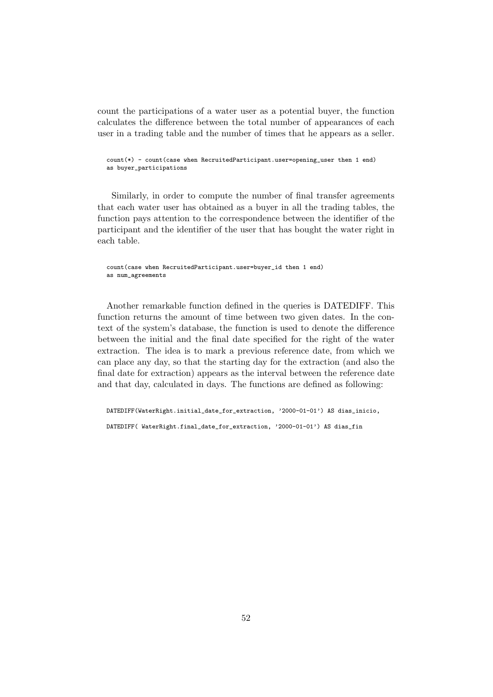count the participations of a water user as a potential buyer, the function calculates the difference between the total number of appearances of each user in a trading table and the number of times that he appears as a seller.

```
count(*) - count(case when RecruitedParticipant.user=opening_user then 1 end)
as buyer_participations
```
Similarly, in order to compute the number of final transfer agreements that each water user has obtained as a buyer in all the trading tables, the function pays attention to the correspondence between the identifier of the participant and the identifier of the user that has bought the water right in each table.

```
count(case when RecruitedParticipant.user=buyer_id then 1 end)
as num_agreements
```
Another remarkable function defined in the queries is DATEDIFF. This function returns the amount of time between two given dates. In the context of the system's database, the function is used to denote the difference between the initial and the final date specified for the right of the water extraction. The idea is to mark a previous reference date, from which we can place any day, so that the starting day for the extraction (and also the final date for extraction) appears as the interval between the reference date and that day, calculated in days. The functions are defined as following:

DATEDIFF(WaterRight.initial\_date\_for\_extraction, '2000-01-01') AS dias\_inicio, DATEDIFF( WaterRight.final\_date\_for\_extraction, '2000-01-01') AS dias\_fin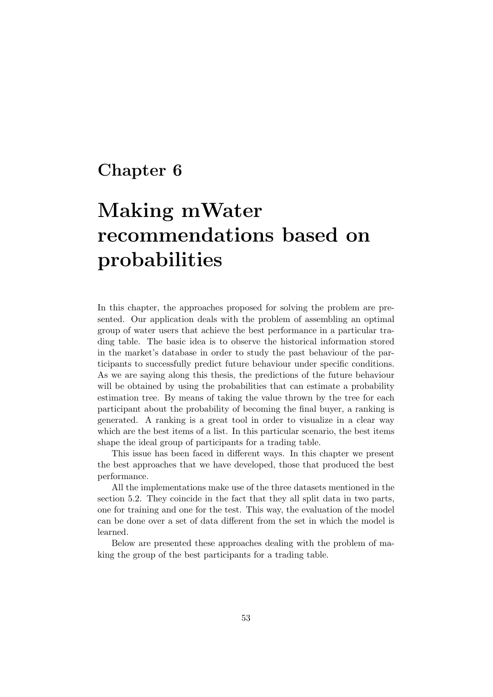### Chapter 6

# Making mWater recommendations based on probabilities

In this chapter, the approaches proposed for solving the problem are presented. Our application deals with the problem of assembling an optimal group of water users that achieve the best performance in a particular trading table. The basic idea is to observe the historical information stored in the market's database in order to study the past behaviour of the participants to successfully predict future behaviour under specific conditions. As we are saying along this thesis, the predictions of the future behaviour will be obtained by using the probabilities that can estimate a probability estimation tree. By means of taking the value thrown by the tree for each participant about the probability of becoming the final buyer, a ranking is generated. A ranking is a great tool in order to visualize in a clear way which are the best items of a list. In this particular scenario, the best items shape the ideal group of participants for a trading table.

This issue has been faced in different ways. In this chapter we present the best approaches that we have developed, those that produced the best performance.

All the implementations make use of the three datasets mentioned in the section 5.2. They coincide in the fact that they all split data in two parts, one for training and one for the test. This way, the evaluation of the model can be done over a set of data different from the set in which the model is learned.

Below are presented these approaches dealing with the problem of making the group of the best participants for a trading table.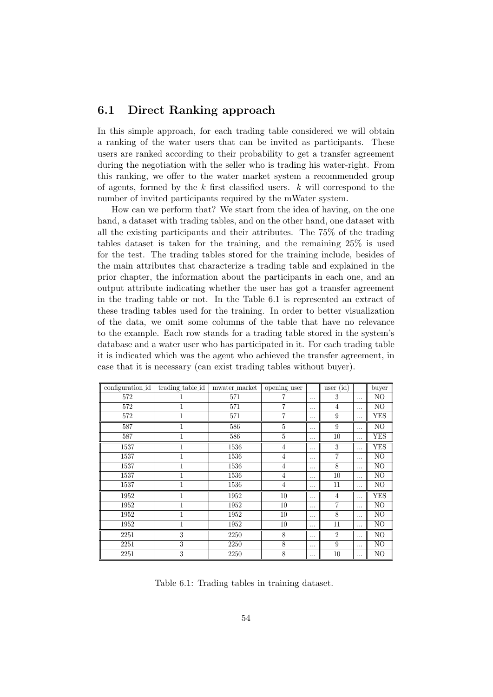#### 6.1 Direct Ranking approach

In this simple approach, for each trading table considered we will obtain a ranking of the water users that can be invited as participants. These users are ranked according to their probability to get a transfer agreement during the negotiation with the seller who is trading his water-right. From this ranking, we offer to the water market system a recommended group of agents, formed by the k first classified users.  $k$  will correspond to the number of invited participants required by the mWater system.

How can we perform that? We start from the idea of having, on the one hand, a dataset with trading tables, and on the other hand, one dataset with all the existing participants and their attributes. The 75% of the trading tables dataset is taken for the training, and the remaining 25% is used for the test. The trading tables stored for the training include, besides of the main attributes that characterize a trading table and explained in the prior chapter, the information about the participants in each one, and an output attribute indicating whether the user has got a transfer agreement in the trading table or not. In the Table 6.1 is represented an extract of these trading tables used for the training. In order to better visualization of the data, we omit some columns of the table that have no relevance to the example. Each row stands for a trading table stored in the system's database and a water user who has participated in it. For each trading table it is indicated which was the agent who achieved the transfer agreement, in case that it is necessary (can exist trading tables without buyer).

| configuration_id | trading_table_id | mwater_market | opening_user   |          | user $(id)$    |          | buyer          |
|------------------|------------------|---------------|----------------|----------|----------------|----------|----------------|
| 572              |                  | 571           |                | $\cdots$ | 3              |          | NO             |
| 572              |                  | 571           |                | $\cdots$ | $\overline{4}$ |          | NO             |
| 572              | 1                | 571           | 7              |          | 9              |          | <b>YES</b>     |
| 587              |                  | 586           | 5              | $\cdots$ | 9              | $\cdots$ | NO             |
| 587              |                  | 586           | $\overline{5}$ | $\cdots$ | 10             |          | <b>YES</b>     |
| 1537             | 1                | 1536          | $\overline{4}$ |          | 3              |          | <b>YES</b>     |
| 1537             | 1                | 1536          | $\overline{4}$ | $\cdots$ | 7              |          | NO             |
| 1537             | 1                | 1536          | $\overline{4}$ | .        | 8              |          | NO             |
| 1537             |                  | 1536          | $\overline{4}$ | .        | 10             |          | NO             |
| 1537             | 1                | 1536          | $\overline{4}$ | .        | 11             |          | N <sub>O</sub> |
| 1952             |                  | 1952          | 10             |          | 4              |          | YES            |
| 1952             | 1                | 1952          | 10             | $\cdots$ | 7              |          | NO             |
| 1952             |                  | 1952          | 10             | $\cdots$ | 8              |          | NO             |
| 1952             | 1                | 1952          | 10             | $\cdots$ | 11             |          | NO             |
| 2251             | 3                | 2250          | 8              | $\cdots$ | $\overline{2}$ |          | NO             |
| 2251             | 3                | 2250          | 8              | $\cdots$ | 9              |          | N <sub>O</sub> |
| 2251             | 3                | 2250          | 8              | $\cdots$ | 10             |          | N <sub>O</sub> |

Table 6.1: Trading tables in training dataset.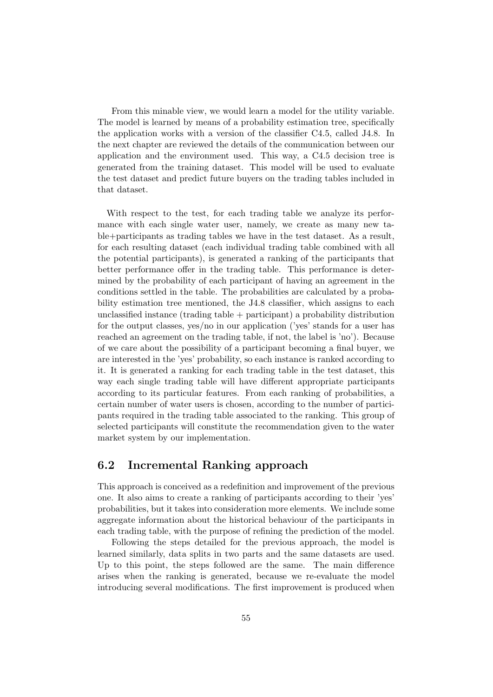From this minable view, we would learn a model for the utility variable. The model is learned by means of a probability estimation tree, specifically the application works with a version of the classifier C4.5, called J4.8. In the next chapter are reviewed the details of the communication between our application and the environment used. This way, a C4.5 decision tree is generated from the training dataset. This model will be used to evaluate the test dataset and predict future buyers on the trading tables included in that dataset.

With respect to the test, for each trading table we analyze its performance with each single water user, namely, we create as many new table+participants as trading tables we have in the test dataset. As a result, for each resulting dataset (each individual trading table combined with all the potential participants), is generated a ranking of the participants that better performance offer in the trading table. This performance is determined by the probability of each participant of having an agreement in the conditions settled in the table. The probabilities are calculated by a probability estimation tree mentioned, the J4.8 classifier, which assigns to each unclassified instance (trading table + participant) a probability distribution for the output classes, yes/no in our application ('yes' stands for a user has reached an agreement on the trading table, if not, the label is 'no'). Because of we care about the possibility of a participant becoming a final buyer, we are interested in the 'yes' probability, so each instance is ranked according to it. It is generated a ranking for each trading table in the test dataset, this way each single trading table will have different appropriate participants according to its particular features. From each ranking of probabilities, a certain number of water users is chosen, according to the number of participants required in the trading table associated to the ranking. This group of selected participants will constitute the recommendation given to the water market system by our implementation.

### 6.2 Incremental Ranking approach

This approach is conceived as a redefinition and improvement of the previous one. It also aims to create a ranking of participants according to their 'yes' probabilities, but it takes into consideration more elements. We include some aggregate information about the historical behaviour of the participants in each trading table, with the purpose of refining the prediction of the model.

Following the steps detailed for the previous approach, the model is learned similarly, data splits in two parts and the same datasets are used. Up to this point, the steps followed are the same. The main difference arises when the ranking is generated, because we re-evaluate the model introducing several modifications. The first improvement is produced when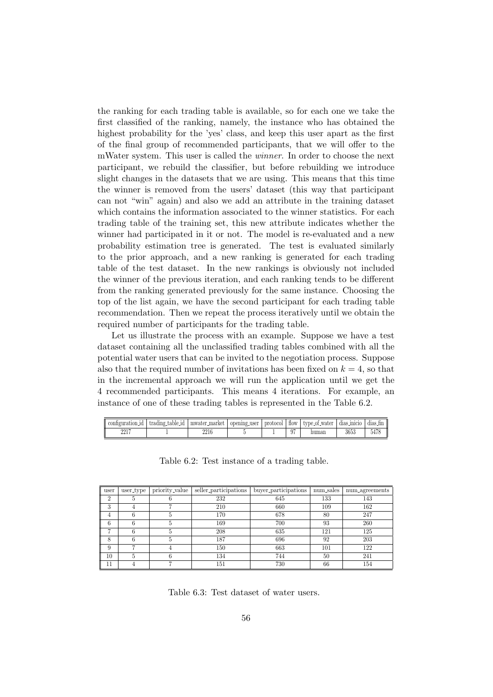the ranking for each trading table is available, so for each one we take the first classified of the ranking, namely, the instance who has obtained the highest probability for the 'yes' class, and keep this user apart as the first of the final group of recommended participants, that we will offer to the mWater system. This user is called the winner. In order to choose the next participant, we rebuild the classifier, but before rebuilding we introduce slight changes in the datasets that we are using. This means that this time the winner is removed from the users' dataset (this way that participant can not "win" again) and also we add an attribute in the training dataset which contains the information associated to the winner statistics. For each trading table of the training set, this new attribute indicates whether the winner had participated in it or not. The model is re-evaluated and a new probability estimation tree is generated. The test is evaluated similarly to the prior approach, and a new ranking is generated for each trading table of the test dataset. In the new rankings is obviously not included the winner of the previous iteration, and each ranking tends to be different from the ranking generated previously for the same instance. Choosing the top of the list again, we have the second participant for each trading table recommendation. Then we repeat the process iteratively until we obtain the required number of participants for the trading table.

Let us illustrate the process with an example. Suppose we have a test dataset containing all the unclassified trading tables combined with all the potential water users that can be invited to the negotiation process. Suppose also that the required number of invitations has been fixed on  $k = 4$ , so that in the incremental approach we will run the application until we get the 4 recommended participants. This means 4 iterations. For example, an instance of one of these trading tables is represented in the Table 6.2.

| atıon<br>и     | tradı.<br>.11ng<br>table<br>-1d | market<br>mwater. | ∴user<br>opening | protocol | <b>HOW</b> | type_of_water | 111C10<br>dias | dias. |
|----------------|---------------------------------|-------------------|------------------|----------|------------|---------------|----------------|-------|
| 9917<br>44 L L |                                 | 2216              |                  |          | 07<br>J.   | auman         | 3653           |       |

| user           | user_type | priority_value | seller_participations | buyer_participations | num_sales | num_agreements |
|----------------|-----------|----------------|-----------------------|----------------------|-----------|----------------|
| $\overline{2}$ | 5         |                | 232                   | 645                  | 133       | 143            |
| 3              | 4         |                | 210                   | 660                  | 109       | 162            |
| 4              | 6         | 5              | 170                   | 678                  | 80        | 247            |
| 6              |           |                | 169                   | 700                  | 93        | 260            |
| ⇁              | 6         |                | 208                   | 635                  | 121       | 125            |
| 8              | 6         | 5              | 187                   | 696                  | 92        | 203            |
| 9              |           |                | 150                   | 663                  | 101       | 122            |
| 10             | 5         | 6              | 134                   | 744                  | 50        | 241            |
| 11             |           |                | 151                   | 730                  | 66        | 154            |

Table 6.2: Test instance of a trading table.

Table 6.3: Test dataset of water users.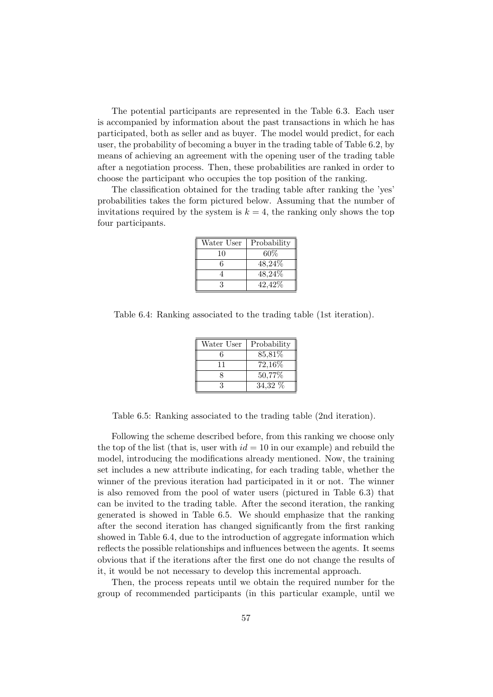The potential participants are represented in the Table 6.3. Each user is accompanied by information about the past transactions in which he has participated, both as seller and as buyer. The model would predict, for each user, the probability of becoming a buyer in the trading table of Table 6.2, by means of achieving an agreement with the opening user of the trading table after a negotiation process. Then, these probabilities are ranked in order to choose the participant who occupies the top position of the ranking.

The classification obtained for the trading table after ranking the 'yes' probabilities takes the form pictured below. Assuming that the number of invitations required by the system is  $k = 4$ , the ranking only shows the top four participants.

| Water User | Probability |
|------------|-------------|
| 10         | 60%         |
| 6          | 48,24\%     |
|            | 48,24%      |
|            | 42,42\%     |

Table 6.4: Ranking associated to the trading table (1st iteration).

| Water User | Probability |
|------------|-------------|
| 6          | 85,81%      |
| 11         | 72,16%      |
|            | 50,77%      |
|            | 34,32 %     |

Table 6.5: Ranking associated to the trading table (2nd iteration).

Following the scheme described before, from this ranking we choose only the top of the list (that is, user with  $id = 10$  in our example) and rebuild the model, introducing the modifications already mentioned. Now, the training set includes a new attribute indicating, for each trading table, whether the winner of the previous iteration had participated in it or not. The winner is also removed from the pool of water users (pictured in Table 6.3) that can be invited to the trading table. After the second iteration, the ranking generated is showed in Table 6.5. We should emphasize that the ranking after the second iteration has changed significantly from the first ranking showed in Table 6.4, due to the introduction of aggregate information which reflects the possible relationships and influences between the agents. It seems obvious that if the iterations after the first one do not change the results of it, it would be not necessary to develop this incremental approach.

Then, the process repeats until we obtain the required number for the group of recommended participants (in this particular example, until we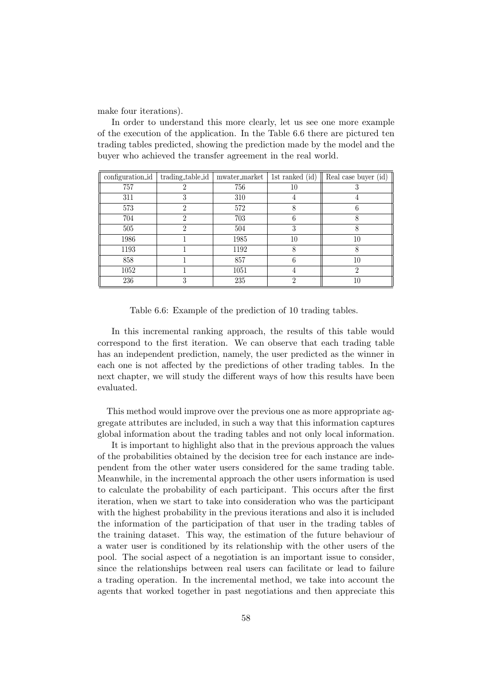make four iterations).

In order to understand this more clearly, let us see one more example of the execution of the application. In the Table 6.6 there are pictured ten trading tables predicted, showing the prediction made by the model and the buyer who achieved the transfer agreement in the real world.

| configuration_id | trading_table_id | mwater_market | 1st ranked (id) | Real case buyer $(id)$ |
|------------------|------------------|---------------|-----------------|------------------------|
| 757              |                  | 756           | 10              |                        |
| 311              |                  | 310           | 4               | 4                      |
| 573              | 2                | 572           | 8               | 6                      |
| 704              |                  | 703           | 6               |                        |
| 505              | 2                | 504           | 3               | 8                      |
| 1986             |                  | 1985          | 10              | 10                     |
| 1193             |                  | 1192          |                 |                        |
| 858              |                  | 857           | 6               | 10                     |
| 1052             |                  | 1051          | 4               | 2                      |
| 236              |                  | 235           | າ               | 10                     |

Table 6.6: Example of the prediction of 10 trading tables.

In this incremental ranking approach, the results of this table would correspond to the first iteration. We can observe that each trading table has an independent prediction, namely, the user predicted as the winner in each one is not affected by the predictions of other trading tables. In the next chapter, we will study the different ways of how this results have been evaluated.

This method would improve over the previous one as more appropriate aggregate attributes are included, in such a way that this information captures global information about the trading tables and not only local information.

It is important to highlight also that in the previous approach the values of the probabilities obtained by the decision tree for each instance are independent from the other water users considered for the same trading table. Meanwhile, in the incremental approach the other users information is used to calculate the probability of each participant. This occurs after the first iteration, when we start to take into consideration who was the participant with the highest probability in the previous iterations and also it is included the information of the participation of that user in the trading tables of the training dataset. This way, the estimation of the future behaviour of a water user is conditioned by its relationship with the other users of the pool. The social aspect of a negotiation is an important issue to consider, since the relationships between real users can facilitate or lead to failure a trading operation. In the incremental method, we take into account the agents that worked together in past negotiations and then appreciate this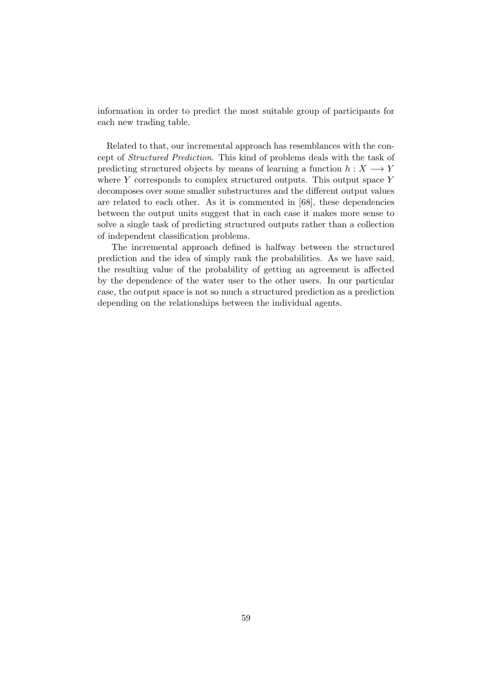information in order to predict the most suitable group of participants for each new trading table.

Related to that, our incremental approach has resemblances with the concept of Structured Prediction. This kind of problems deals with the task of predicting structured objects by means of learning a function  $h: X \longrightarrow Y$ where Y corresponds to complex structured outputs. This output space Y decomposes over some smaller substructures and the different output values are related to each other. As it is commented in [68], these dependencies between the output units suggest that in each case it makes more sense to solve a single task of predicting structured outputs rather than a collection of independent classification problems.

The incremental approach defined is halfway between the structured prediction and the idea of simply rank the probabilities. As we have said, the resulting value of the probability of getting an agreement is affected by the dependence of the water user to the other users. In our particular case, the output space is not so much a structured prediction as a prediction depending on the relationships between the individual agents.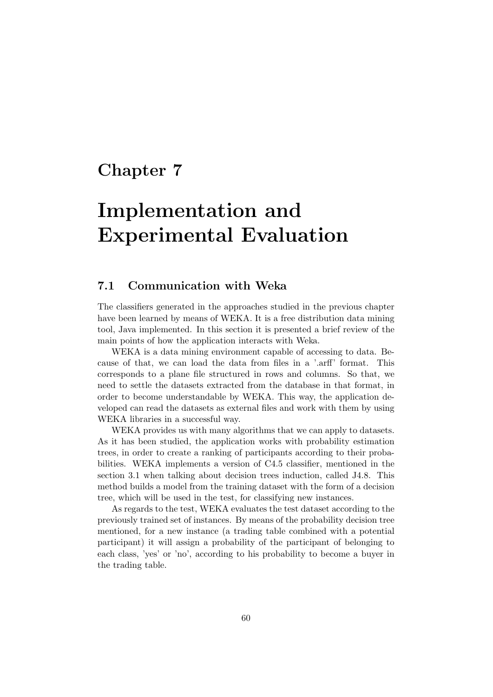## Chapter 7

# Implementation and Experimental Evaluation

### 7.1 Communication with Weka

The classifiers generated in the approaches studied in the previous chapter have been learned by means of WEKA. It is a free distribution data mining tool, Java implemented. In this section it is presented a brief review of the main points of how the application interacts with Weka.

WEKA is a data mining environment capable of accessing to data. Because of that, we can load the data from files in a '.arff' format. This corresponds to a plane file structured in rows and columns. So that, we need to settle the datasets extracted from the database in that format, in order to become understandable by WEKA. This way, the application developed can read the datasets as external files and work with them by using WEKA libraries in a successful way.

WEKA provides us with many algorithms that we can apply to datasets. As it has been studied, the application works with probability estimation trees, in order to create a ranking of participants according to their probabilities. WEKA implements a version of C4.5 classifier, mentioned in the section 3.1 when talking about decision trees induction, called J4.8. This method builds a model from the training dataset with the form of a decision tree, which will be used in the test, for classifying new instances.

As regards to the test, WEKA evaluates the test dataset according to the previously trained set of instances. By means of the probability decision tree mentioned, for a new instance (a trading table combined with a potential participant) it will assign a probability of the participant of belonging to each class, 'yes' or 'no', according to his probability to become a buyer in the trading table.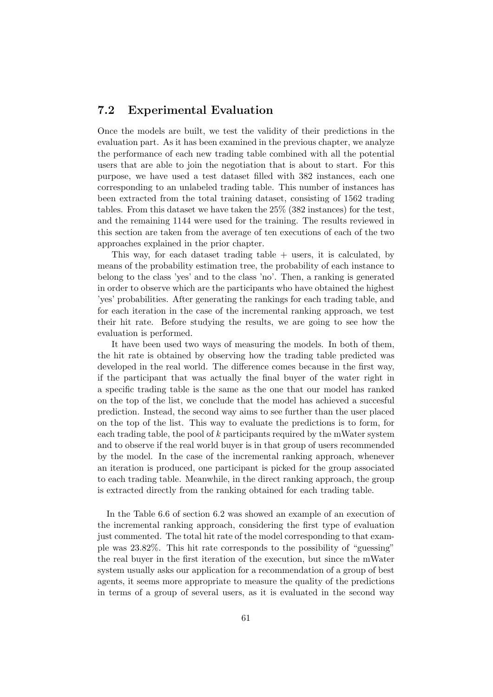#### 7.2 Experimental Evaluation

Once the models are built, we test the validity of their predictions in the evaluation part. As it has been examined in the previous chapter, we analyze the performance of each new trading table combined with all the potential users that are able to join the negotiation that is about to start. For this purpose, we have used a test dataset filled with 382 instances, each one corresponding to an unlabeled trading table. This number of instances has been extracted from the total training dataset, consisting of 1562 trading tables. From this dataset we have taken the 25% (382 instances) for the test, and the remaining 1144 were used for the training. The results reviewed in this section are taken from the average of ten executions of each of the two approaches explained in the prior chapter.

This way, for each dataset trading table  $+$  users, it is calculated, by means of the probability estimation tree, the probability of each instance to belong to the class 'yes' and to the class 'no'. Then, a ranking is generated in order to observe which are the participants who have obtained the highest 'yes' probabilities. After generating the rankings for each trading table, and for each iteration in the case of the incremental ranking approach, we test their hit rate. Before studying the results, we are going to see how the evaluation is performed.

It have been used two ways of measuring the models. In both of them, the hit rate is obtained by observing how the trading table predicted was developed in the real world. The difference comes because in the first way, if the participant that was actually the final buyer of the water right in a specific trading table is the same as the one that our model has ranked on the top of the list, we conclude that the model has achieved a succesful prediction. Instead, the second way aims to see further than the user placed on the top of the list. This way to evaluate the predictions is to form, for each trading table, the pool of  $k$  participants required by the mWater system and to observe if the real world buyer is in that group of users recommended by the model. In the case of the incremental ranking approach, whenever an iteration is produced, one participant is picked for the group associated to each trading table. Meanwhile, in the direct ranking approach, the group is extracted directly from the ranking obtained for each trading table.

In the Table 6.6 of section 6.2 was showed an example of an execution of the incremental ranking approach, considering the first type of evaluation just commented. The total hit rate of the model corresponding to that example was 23.82%. This hit rate corresponds to the possibility of "guessing" the real buyer in the first iteration of the execution, but since the mWater system usually asks our application for a recommendation of a group of best agents, it seems more appropriate to measure the quality of the predictions in terms of a group of several users, as it is evaluated in the second way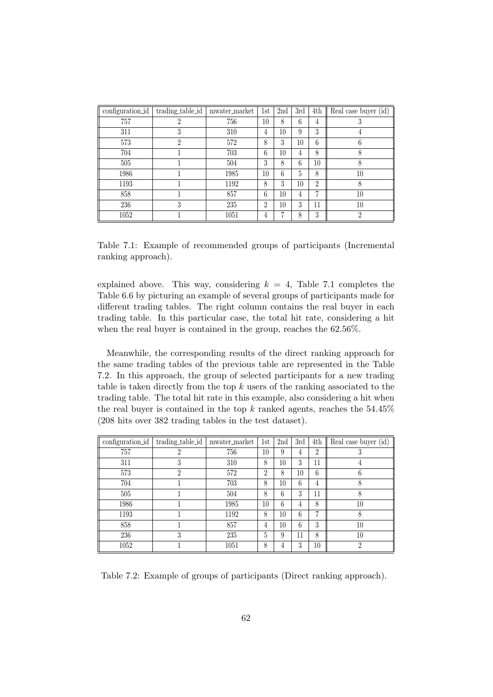| configuration_id | trading_table_id | mwater_market | 1st            | 2nd | 3rd | 4th            | Real case buyer (id) |
|------------------|------------------|---------------|----------------|-----|-----|----------------|----------------------|
| 757              |                  | 756           | 10             | 8   | 6   | 4              | 3                    |
| 311              | Ő                | 310           | 4              | 10  | 9   | 3              | 4                    |
| 573              | $\mathfrak{D}$   | 572           | 8              | 3   | 10  | 6              | 6                    |
| 704              |                  | 703           | 6              | 10  | 4   | 8              | 8                    |
| 505              |                  | 504           | 3              | 8   | 6   | 10             | 8                    |
| 1986             |                  | 1985          | 10             | 6   | 5   | 8              | 10                   |
| 1193             |                  | 1192          | 8              | 3   | 10  | $\overline{2}$ | 8                    |
| 858              |                  | 857           | 6              | 10  | 4   | 7              | 10                   |
| 236              | 3                | 235           | $\overline{2}$ | 10  | 3   | 11             | 10                   |
| 1052             |                  | 1051          | 4              | 17  | 8   | 3              | $\overline{2}$       |

Table 7.1: Example of recommended groups of participants (Incremental ranking approach).

explained above. This way, considering  $k = 4$ , Table 7.1 completes the Table 6.6 by picturing an example of several groups of participants made for different trading tables. The right column contains the real buyer in each trading table. In this particular case, the total hit rate, considering a hit when the real buyer is contained in the group, reaches the 62.56%.

Meanwhile, the corresponding results of the direct ranking approach for the same trading tables of the previous table are represented in the Table 7.2. In this approach, the group of selected participants for a new trading table is taken directly from the top  $k$  users of the ranking associated to the trading table. The total hit rate in this example, also considering a hit when the real buyer is contained in the top k ranked agents, reaches the  $54.45\%$ (208 hits over 382 trading tables in the test dataset).

| configuration_id | trading_table_id | mwater_market | 1st            | 2nd | 3rd | 4th            | Real case buyer (id) |
|------------------|------------------|---------------|----------------|-----|-----|----------------|----------------------|
| 757              |                  | 756           | 10             | 9   | 4   | $\overline{2}$ | 3                    |
| 311              | 3                | 310           | 8              | 10  | 3   | 11             | 4                    |
| 573              | 2                | 572           | $\overline{2}$ | 8   | 10  | 6              | 6                    |
| 704              |                  | 703           | 8              | 10  | 6   | 4              | 8                    |
| 505              |                  | 504           | 8              | 6   | 3   | 11             | 8                    |
| 1986             |                  | 1985          | 10             | 6   | 4   | 8              | 10                   |
| 1193             |                  | 1192          | 8              | 10  | 6   | 7              | 8                    |
| 858              |                  | 857           | 4              | 10  | 6   | 3              | 10                   |
| 236              | 3                | 235           | 5              | 9   | 11  | 8              | 10                   |
| 1052             |                  | 1051          | 8              | 4   | 3   | 10             | $\mathfrak{D}$       |

Table 7.2: Example of groups of participants (Direct ranking approach).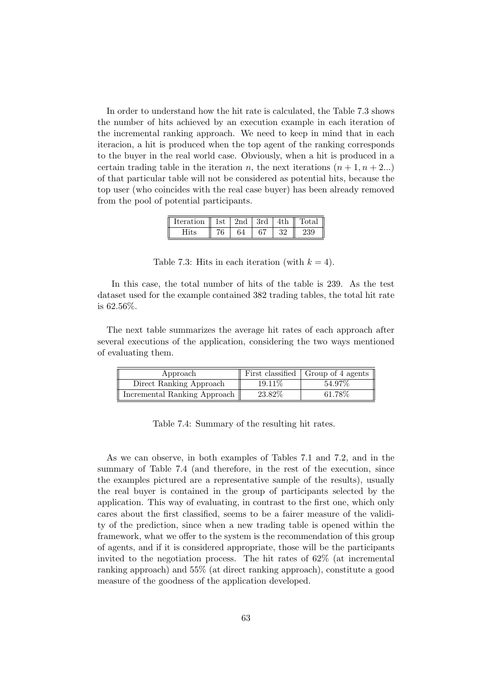In order to understand how the hit rate is calculated, the Table 7.3 shows the number of hits achieved by an execution example in each iteration of the incremental ranking approach. We need to keep in mind that in each iteracion, a hit is produced when the top agent of the ranking corresponds to the buyer in the real world case. Obviously, when a hit is produced in a certain trading table in the iteration n, the next iterations  $(n + 1, n + 2...)$ of that particular table will not be considered as potential hits, because the top user (who coincides with the real case buyer) has been already removed from the pool of potential participants.

| Iteration    1st   2nd   3rd   4th    Total |     |    |     |     |     |
|---------------------------------------------|-----|----|-----|-----|-----|
|                                             | 76. | 64 | -67 | -32 | 239 |

Table 7.3: Hits in each iteration (with  $k = 4$ ).

In this case, the total number of hits of the table is 239. As the test dataset used for the example contained 382 trading tables, the total hit rate is 62.56%.

The next table summarizes the average hit rates of each approach after several executions of the application, considering the two ways mentioned of evaluating them.

| Approach                     |         | First classified   Group of 4 agents |
|------------------------------|---------|--------------------------------------|
| Direct Ranking Approach      | 19.11\% | 54.97%                               |
| Incremental Ranking Approach | 23.82\% | 61.78%                               |

|  | Table 7.4: Summary of the resulting hit rates. |  |  |  |  |
|--|------------------------------------------------|--|--|--|--|
|--|------------------------------------------------|--|--|--|--|

As we can observe, in both examples of Tables 7.1 and 7.2, and in the summary of Table 7.4 (and therefore, in the rest of the execution, since the examples pictured are a representative sample of the results), usually the real buyer is contained in the group of participants selected by the application. This way of evaluating, in contrast to the first one, which only cares about the first classified, seems to be a fairer measure of the validity of the prediction, since when a new trading table is opened within the framework, what we offer to the system is the recommendation of this group of agents, and if it is considered appropriate, those will be the participants invited to the negotiation process. The hit rates of 62% (at incremental ranking approach) and 55% (at direct ranking approach), constitute a good measure of the goodness of the application developed.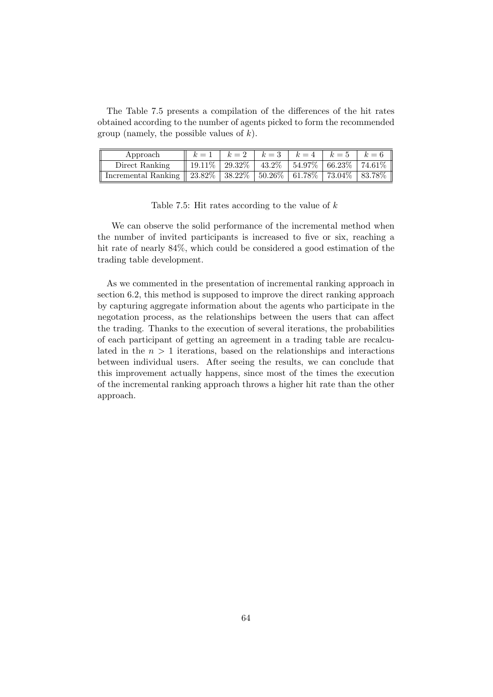The Table 7.5 presents a compilation of the differences of the hit rates obtained according to the number of agents picked to form the recommended group (namely, the possible values of  $k$ ).

| Approach                                                                                     | $k = 1$ $k = 2$ $k = 3$ $k = 4$ $k = 5$ $k = 6$          |  |  |  |
|----------------------------------------------------------------------------------------------|----------------------------------------------------------|--|--|--|
| Direct Ranking                                                                               | 19.11\%   29.32\%   43.2\%   54.97\%   66.23\%   74.61\% |  |  |  |
| Incremental Ranking    $23.82\%$   $38.22\%$   $50.26\%$   $61.78\%$   $73.04\%$   $83.78\%$ |                                                          |  |  |  |

Table 7.5: Hit rates according to the value of  $k$ 

We can observe the solid performance of the incremental method when the number of invited participants is increased to five or six, reaching a hit rate of nearly 84%, which could be considered a good estimation of the trading table development.

As we commented in the presentation of incremental ranking approach in section 6.2, this method is supposed to improve the direct ranking approach by capturing aggregate information about the agents who participate in the negotation process, as the relationships between the users that can affect the trading. Thanks to the execution of several iterations, the probabilities of each participant of getting an agreement in a trading table are recalculated in the  $n > 1$  iterations, based on the relationships and interactions between individual users. After seeing the results, we can conclude that this improvement actually happens, since most of the times the execution of the incremental ranking approach throws a higher hit rate than the other approach.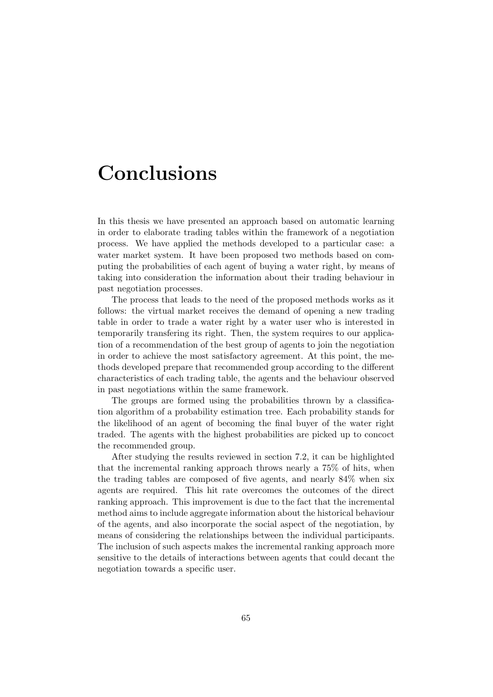## Conclusions

In this thesis we have presented an approach based on automatic learning in order to elaborate trading tables within the framework of a negotiation process. We have applied the methods developed to a particular case: a water market system. It have been proposed two methods based on computing the probabilities of each agent of buying a water right, by means of taking into consideration the information about their trading behaviour in past negotiation processes.

The process that leads to the need of the proposed methods works as it follows: the virtual market receives the demand of opening a new trading table in order to trade a water right by a water user who is interested in temporarily transfering its right. Then, the system requires to our application of a recommendation of the best group of agents to join the negotiation in order to achieve the most satisfactory agreement. At this point, the methods developed prepare that recommended group according to the different characteristics of each trading table, the agents and the behaviour observed in past negotiations within the same framework.

The groups are formed using the probabilities thrown by a classification algorithm of a probability estimation tree. Each probability stands for the likelihood of an agent of becoming the final buyer of the water right traded. The agents with the highest probabilities are picked up to concoct the recommended group.

After studying the results reviewed in section 7.2, it can be highlighted that the incremental ranking approach throws nearly a 75% of hits, when the trading tables are composed of five agents, and nearly 84% when six agents are required. This hit rate overcomes the outcomes of the direct ranking approach. This improvement is due to the fact that the incremental method aims to include aggregate information about the historical behaviour of the agents, and also incorporate the social aspect of the negotiation, by means of considering the relationships between the individual participants. The inclusion of such aspects makes the incremental ranking approach more sensitive to the details of interactions between agents that could decant the negotiation towards a specific user.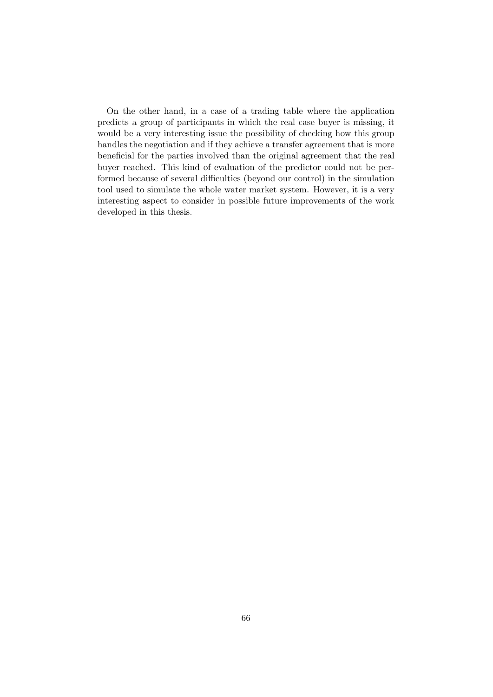On the other hand, in a case of a trading table where the application predicts a group of participants in which the real case buyer is missing, it would be a very interesting issue the possibility of checking how this group handles the negotiation and if they achieve a transfer agreement that is more beneficial for the parties involved than the original agreement that the real buyer reached. This kind of evaluation of the predictor could not be performed because of several difficulties (beyond our control) in the simulation tool used to simulate the whole water market system. However, it is a very interesting aspect to consider in possible future improvements of the work developed in this thesis.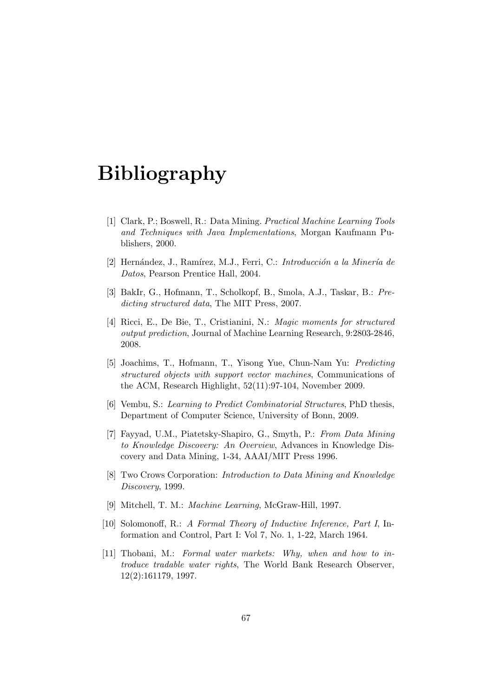# Bibliography

- [1] Clark, P.; Boswell, R.: Data Mining. Practical Machine Learning Tools and Techniques with Java Implementations, Morgan Kaufmann Publishers, 2000.
- [2] Hernández, J., Ramírez, M.J., Ferri, C.: Introducción a la Minería de Datos, Pearson Prentice Hall, 2004.
- [3] BakIr, G., Hofmann, T., Scholkopf, B., Smola, A.J., Taskar, B.: Predicting structured data, The MIT Press, 2007.
- [4] Ricci, E., De Bie, T., Cristianini, N.: Magic moments for structured output prediction, Journal of Machine Learning Research, 9:2803-2846, 2008.
- [5] Joachims, T., Hofmann, T., Yisong Yue, Chun-Nam Yu: Predicting structured objects with support vector machines, Communications of the ACM, Research Highlight, 52(11):97-104, November 2009.
- [6] Vembu, S.: Learning to Predict Combinatorial Structures, PhD thesis, Department of Computer Science, University of Bonn, 2009.
- [7] Fayyad, U.M., Piatetsky-Shapiro, G., Smyth, P.: From Data Mining to Knowledge Discovery: An Overview, Advances in Knowledge Discovery and Data Mining, 1-34, AAAI/MIT Press 1996.
- [8] Two Crows Corporation: Introduction to Data Mining and Knowledge Discovery, 1999.
- [9] Mitchell, T. M.: Machine Learning, McGraw-Hill, 1997.
- [10] Solomonoff, R.: A Formal Theory of Inductive Inference, Part I, Information and Control, Part I: Vol 7, No. 1, 1-22, March 1964.
- [11] Thobani, M.: Formal water markets: Why, when and how to introduce tradable water rights, The World Bank Research Observer, 12(2):161179, 1997.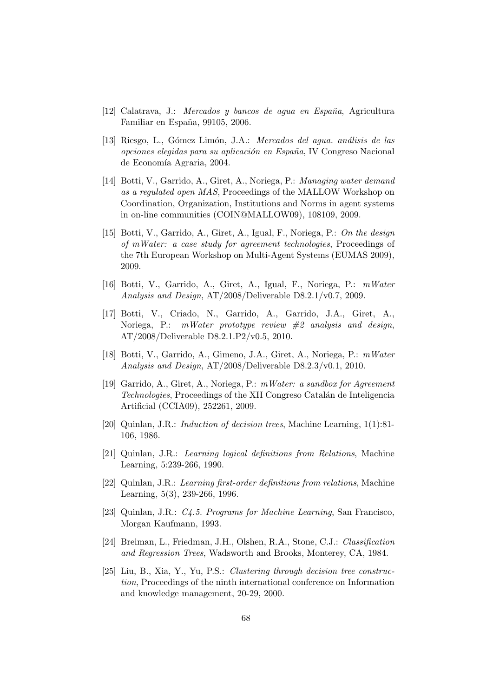- $[12]$  Calatrava, J.: Mercados y bancos de agua en España, Agricultura Familiar en España, 99105, 2006.
- [13] Riesgo, L., Gómez Limón, J.A.: *Mercados del aqua. análisis de las* opciones elegidas para su aplicación en España, IV Congreso Nacional de Economía Agraria, 2004.
- [14] Botti, V., Garrido, A., Giret, A., Noriega, P.: Managing water demand as a regulated open MAS, Proceedings of the MALLOW Workshop on Coordination, Organization, Institutions and Norms in agent systems in on-line communities (COIN@MALLOW09), 108109, 2009.
- [15] Botti, V., Garrido, A., Giret, A., Igual, F., Noriega, P.: On the design of mWater: a case study for agreement technologies, Proceedings of the 7th European Workshop on Multi-Agent Systems (EUMAS 2009), 2009.
- [16] Botti, V., Garrido, A., Giret, A., Igual, F., Noriega, P.: mWater Analysis and Design, AT/2008/Deliverable D8.2.1/v0.7, 2009.
- [17] Botti, V., Criado, N., Garrido, A., Garrido, J.A., Giret, A., Noriega, P.:  $mWater$  prototype review  $#2$  analysis and design, AT/2008/Deliverable D8.2.1.P2/v0.5, 2010.
- [18] Botti, V., Garrido, A., Gimeno, J.A., Giret, A., Noriega, P.: mWater Analysis and Design, AT/2008/Deliverable D8.2.3/v0.1, 2010.
- [19] Garrido, A., Giret, A., Noriega, P.: mWater: a sandbox for Agreement Technologies, Proceedings of the XII Congreso Catalán de Inteligencia Artificial (CCIA09), 252261, 2009.
- [20] Quinlan, J.R.: Induction of decision trees, Machine Learning, 1(1):81- 106, 1986.
- [21] Quinlan, J.R.: Learning logical definitions from Relations, Machine Learning, 5:239-266, 1990.
- [22] Quinlan, J.R.: Learning first-order definitions from relations, Machine Learning, 5(3), 239-266, 1996.
- [23] Quinlan, J.R.: C4.5. Programs for Machine Learning, San Francisco, Morgan Kaufmann, 1993.
- [24] Breiman, L., Friedman, J.H., Olshen, R.A., Stone, C.J.: Classification and Regression Trees, Wadsworth and Brooks, Monterey, CA, 1984.
- [25] Liu, B., Xia, Y., Yu, P.S.: Clustering through decision tree construction, Proceedings of the ninth international conference on Information and knowledge management, 20-29, 2000.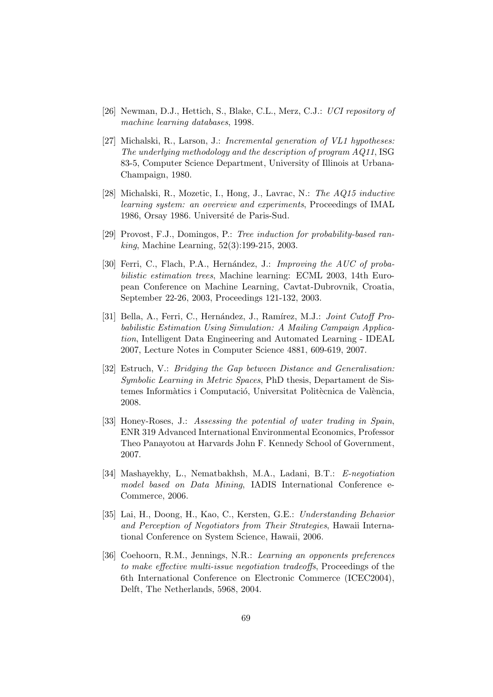- [26] Newman, D.J., Hettich, S., Blake, C.L., Merz, C.J.: UCI repository of machine learning databases, 1998.
- [27] Michalski, R., Larson, J.: Incremental generation of VL1 hypotheses: The underlying methodology and the description of program AQ11, ISG 83-5, Computer Science Department, University of Illinois at Urbana-Champaign, 1980.
- [28] Michalski, R., Mozetic, I., Hong, J., Lavrac, N.: The AQ15 inductive learning system: an overview and experiments, Proceedings of IMAL 1986, Orsay 1986. Université de Paris-Sud.
- [29] Provost, F.J., Domingos, P.: Tree induction for probability-based ranking, Machine Learning, 52(3):199-215, 2003.
- [30] Ferri, C., Flach, P.A., Hernández, J.: Improving the AUC of probabilistic estimation trees, Machine learning: ECML 2003, 14th European Conference on Machine Learning, Cavtat-Dubrovnik, Croatia, September 22-26, 2003, Proceedings 121-132, 2003.
- [31] Bella, A., Ferri, C., Hernández, J., Ramírez, M.J.: *Joint Cutoff Pro*babilistic Estimation Using Simulation: A Mailing Campaign Application, Intelligent Data Engineering and Automated Learning - IDEAL 2007, Lecture Notes in Computer Science 4881, 609-619, 2007.
- [32] Estruch, V.: Bridging the Gap between Distance and Generalisation: Symbolic Learning in Metric Spaces, PhD thesis, Departament de Sistemes Informàtics i Computació, Universitat Politècnica de València, 2008.
- [33] Honey-Roses, J.: Assessing the potential of water trading in Spain, ENR 319 Advanced International Environmental Economics, Professor Theo Panayotou at Harvards John F. Kennedy School of Government, 2007.
- [34] Mashayekhy, L., Nematbakhsh, M.A., Ladani, B.T.: E-negotiation model based on Data Mining, IADIS International Conference e-Commerce, 2006.
- [35] Lai, H., Doong, H., Kao, C., Kersten, G.E.: Understanding Behavior and Perception of Negotiators from Their Strategies, Hawaii International Conference on System Science, Hawaii, 2006.
- [36] Coehoorn, R.M., Jennings, N.R.: Learning an opponents preferences to make effective multi-issue negotiation tradeoffs, Proceedings of the 6th International Conference on Electronic Commerce (ICEC2004), Delft, The Netherlands, 5968, 2004.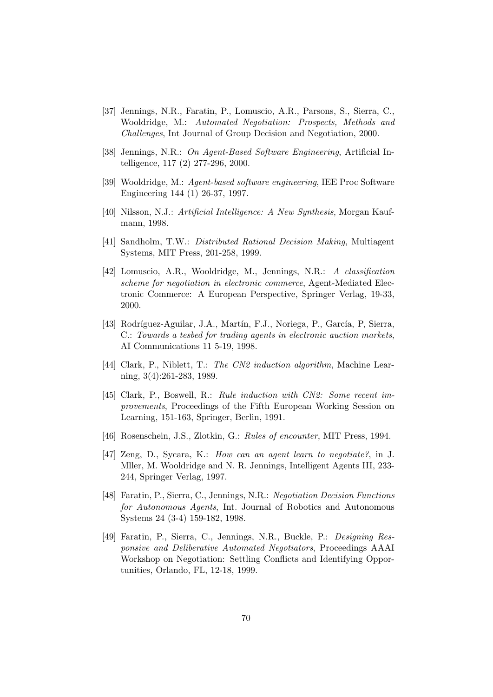- [37] Jennings, N.R., Faratin, P., Lomuscio, A.R., Parsons, S., Sierra, C., Wooldridge, M.: Automated Negotiation: Prospects, Methods and Challenges, Int Journal of Group Decision and Negotiation, 2000.
- [38] Jennings, N.R.: On Agent-Based Software Engineering, Artificial Intelligence, 117 (2) 277-296, 2000.
- [39] Wooldridge, M.: Agent-based software engineering, IEE Proc Software Engineering 144 (1) 26-37, 1997.
- [40] Nilsson, N.J.: Artificial Intelligence: A New Synthesis, Morgan Kaufmann, 1998.
- [41] Sandholm, T.W.: Distributed Rational Decision Making, Multiagent Systems, MIT Press, 201-258, 1999.
- [42] Lomuscio, A.R., Wooldridge, M., Jennings, N.R.: A classification scheme for negotiation in electronic commerce, Agent-Mediated Electronic Commerce: A European Perspective, Springer Verlag, 19-33, 2000.
- [43] Rodríguez-Aguilar, J.A., Martín, F.J., Noriega, P., García, P, Sierra, C.: Towards a tesbed for trading agents in electronic auction markets, AI Communications 11 5-19, 1998.
- [44] Clark, P., Niblett, T.: The CN2 induction algorithm, Machine Learning, 3(4):261-283, 1989.
- [45] Clark, P., Boswell, R.: Rule induction with CN2: Some recent improvements, Proceedings of the Fifth European Working Session on Learning, 151-163, Springer, Berlin, 1991.
- [46] Rosenschein, J.S., Zlotkin, G.: Rules of encounter, MIT Press, 1994.
- [47] Zeng, D., Sycara, K.: How can an agent learn to negotiate?, in J. Mller, M. Wooldridge and N. R. Jennings, Intelligent Agents III, 233- 244, Springer Verlag, 1997.
- [48] Faratin, P., Sierra, C., Jennings, N.R.: Negotiation Decision Functions for Autonomous Agents, Int. Journal of Robotics and Autonomous Systems 24 (3-4) 159-182, 1998.
- [49] Faratin, P., Sierra, C., Jennings, N.R., Buckle, P.: Designing Responsive and Deliberative Automated Negotiators, Proceedings AAAI Workshop on Negotiation: Settling Conflicts and Identifying Opportunities, Orlando, FL, 12-18, 1999.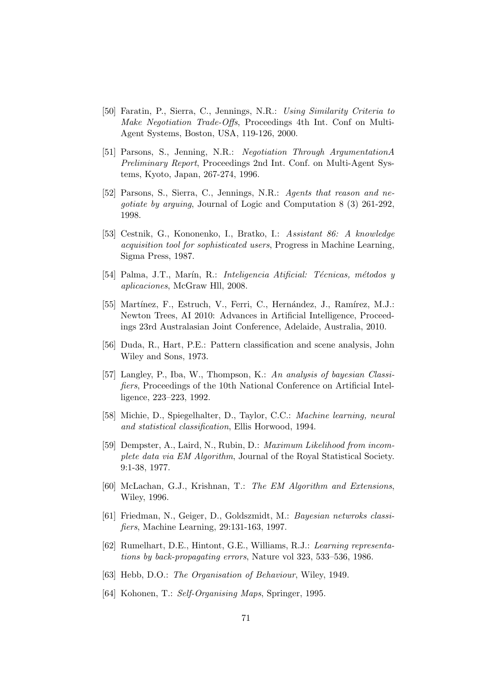- [50] Faratin, P., Sierra, C., Jennings, N.R.: Using Similarity Criteria to Make Negotiation Trade-Offs, Proceedings 4th Int. Conf on Multi-Agent Systems, Boston, USA, 119-126, 2000.
- [51] Parsons, S., Jenning, N.R.: Negotiation Through ArgumentationA Preliminary Report, Proceedings 2nd Int. Conf. on Multi-Agent Systems, Kyoto, Japan, 267-274, 1996.
- [52] Parsons, S., Sierra, C., Jennings, N.R.: Agents that reason and negotiate by arguing, Journal of Logic and Computation 8 (3) 261-292, 1998.
- [53] Cestnik, G., Kononenko, I., Bratko, I.: Assistant 86: A knowledge acquisition tool for sophisticated users, Progress in Machine Learning, Sigma Press, 1987.
- [54] Palma, J.T., Marín, R.: *Inteligencia Atificial: Técnicas, métodos* y aplicaciones, McGraw Hll, 2008.
- [55] Martínez, F., Estruch, V., Ferri, C., Hernández, J., Ramírez, M.J.: Newton Trees, AI 2010: Advances in Artificial Intelligence, Proceedings 23rd Australasian Joint Conference, Adelaide, Australia, 2010.
- [56] Duda, R., Hart, P.E.: Pattern classification and scene analysis, John Wiley and Sons, 1973.
- [57] Langley, P., Iba, W., Thompson, K.: An analysis of bayesian Classifiers, Proceedings of the 10th National Conference on Artificial Intelligence, 223–223, 1992.
- [58] Michie, D., Spiegelhalter, D., Taylor, C.C.: Machine learning, neural and statistical classification, Ellis Horwood, 1994.
- [59] Dempster, A., Laird, N., Rubin, D.: Maximum Likelihood from incomplete data via EM Algorithm, Journal of the Royal Statistical Society. 9:1-38, 1977.
- [60] McLachan, G.J., Krishnan, T.: The EM Algorithm and Extensions, Wiley, 1996.
- [61] Friedman, N., Geiger, D., Goldszmidt, M.: Bayesian netwroks classifiers, Machine Learning, 29:131-163, 1997.
- [62] Rumelhart, D.E., Hintont, G.E., Williams, R.J.: Learning representations by back-propagating errors, Nature vol 323, 533–536, 1986.
- [63] Hebb, D.O.: The Organisation of Behaviour, Wiley, 1949.
- [64] Kohonen, T.: Self-Organising Maps, Springer, 1995.